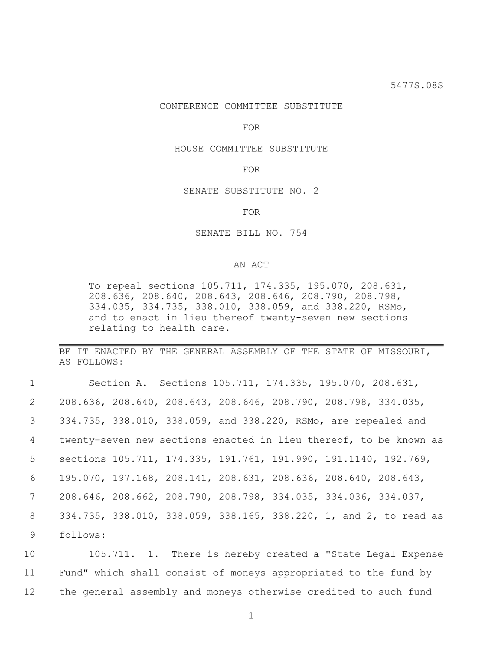# CONFERENCE COMMITTEE SUBSTITUTE

FOR

## HOUSE COMMITTEE SUBSTITUTE

#### FOR

SENATE SUBSTITUTE NO. 2

FOR

### SENATE BILL NO. 754

# AN ACT

To repeal sections 105.711, 174.335, 195.070, 208.631, 208.636, 208.640, 208.643, 208.646, 208.790, 208.798, 334.035, 334.735, 338.010, 338.059, and 338.220, RSMo, and to enact in lieu thereof twenty-seven new sections relating to health care.

BE IT ENACTED BY THE GENERAL ASSEMBLY OF THE STATE OF MISSOURI, AS FOLLOWS:

| $\mathbf{1}$    |          | Section A. Sections 105.711, 174.335, 195.070, 208.631,                             |  |                                                                   |  |
|-----------------|----------|-------------------------------------------------------------------------------------|--|-------------------------------------------------------------------|--|
| $\overline{2}$  |          | 208.636, 208.640, 208.643, 208.646, 208.790, 208.798, 334.035,                      |  |                                                                   |  |
| $\mathcal{S}$   |          | 334.735, 338.010, 338.059, and 338.220, RSMo, are repealed and                      |  |                                                                   |  |
| $4\overline{ }$ |          |                                                                                     |  | twenty-seven new sections enacted in lieu thereof, to be known as |  |
| 5 <sup>5</sup>  |          |                                                                                     |  | sections 105.711, 174.335, 191.761, 191.990, 191.1140, 192.769,   |  |
| 6               |          | 195.070, 197.168, 208.141, 208.631, 208.636, 208.640, 208.643,                      |  |                                                                   |  |
| $7\overline{ }$ |          | $208.646$ , $208.662$ , $208.790$ , $208.798$ , $334.035$ , $334.036$ , $334.037$ , |  |                                                                   |  |
| 8               |          |                                                                                     |  | 334.735, 338.010, 338.059, 338.165, 338.220, 1, and 2, to read as |  |
| 9               | follows: |                                                                                     |  |                                                                   |  |

10 105.711. 1. There is hereby created a "State Legal Expense 11 Fund" which shall consist of moneys appropriated to the fund by 12 the general assembly and moneys otherwise credited to such fund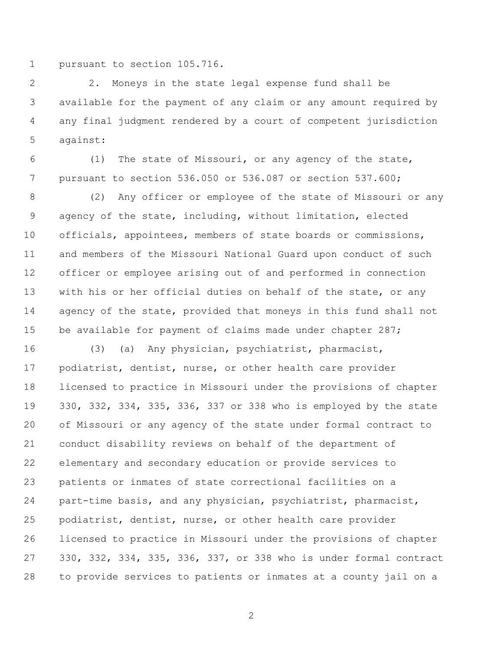pursuant to section 105.716.

 2. Moneys in the state legal expense fund shall be available for the payment of any claim or any amount required by any final judgment rendered by a court of competent jurisdiction against:

 (1) The state of Missouri, or any agency of the state, pursuant to section 536.050 or 536.087 or section 537.600;

 (2) Any officer or employee of the state of Missouri or any agency of the state, including, without limitation, elected officials, appointees, members of state boards or commissions, and members of the Missouri National Guard upon conduct of such officer or employee arising out of and performed in connection with his or her official duties on behalf of the state, or any 14 agency of the state, provided that moneys in this fund shall not 15 be available for payment of claims made under chapter 287;

 (3) (a) Any physician, psychiatrist, pharmacist, podiatrist, dentist, nurse, or other health care provider licensed to practice in Missouri under the provisions of chapter 330, 332, 334, 335, 336, 337 or 338 who is employed by the state of Missouri or any agency of the state under formal contract to conduct disability reviews on behalf of the department of elementary and secondary education or provide services to patients or inmates of state correctional facilities on a part-time basis, and any physician, psychiatrist, pharmacist, podiatrist, dentist, nurse, or other health care provider licensed to practice in Missouri under the provisions of chapter 330, 332, 334, 335, 336, 337, or 338 who is under formal contract to provide services to patients or inmates at a county jail on a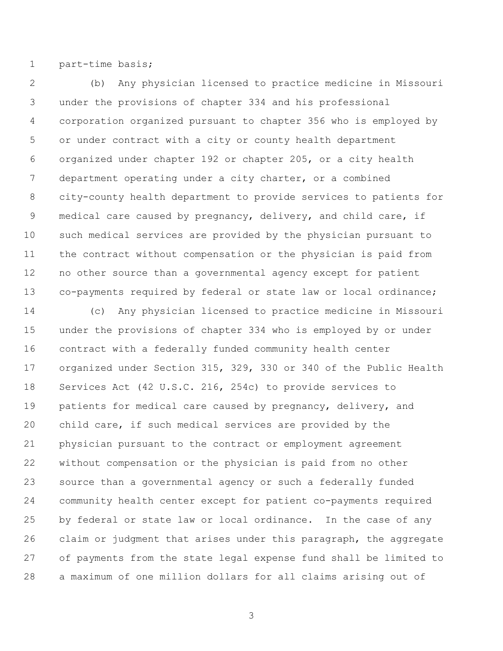part-time basis;

 (b) Any physician licensed to practice medicine in Missouri under the provisions of chapter 334 and his professional corporation organized pursuant to chapter 356 who is employed by or under contract with a city or county health department organized under chapter 192 or chapter 205, or a city health department operating under a city charter, or a combined city-county health department to provide services to patients for medical care caused by pregnancy, delivery, and child care, if such medical services are provided by the physician pursuant to the contract without compensation or the physician is paid from no other source than a governmental agency except for patient co-payments required by federal or state law or local ordinance;

 (c) Any physician licensed to practice medicine in Missouri under the provisions of chapter 334 who is employed by or under contract with a federally funded community health center organized under Section 315, 329, 330 or 340 of the Public Health Services Act (42 U.S.C. 216, 254c) to provide services to patients for medical care caused by pregnancy, delivery, and child care, if such medical services are provided by the physician pursuant to the contract or employment agreement without compensation or the physician is paid from no other source than a governmental agency or such a federally funded community health center except for patient co-payments required by federal or state law or local ordinance. In the case of any claim or judgment that arises under this paragraph, the aggregate of payments from the state legal expense fund shall be limited to a maximum of one million dollars for all claims arising out of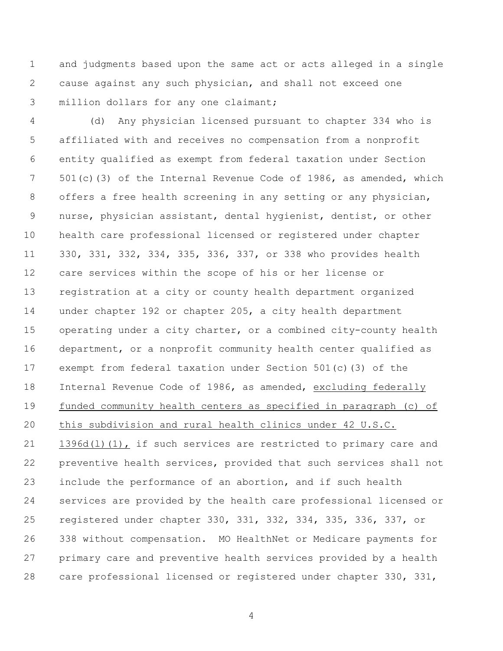and judgments based upon the same act or acts alleged in a single cause against any such physician, and shall not exceed one million dollars for any one claimant;

 (d) Any physician licensed pursuant to chapter 334 who is affiliated with and receives no compensation from a nonprofit entity qualified as exempt from federal taxation under Section 501(c)(3) of the Internal Revenue Code of 1986, as amended, which 8 offers a free health screening in any setting or any physician, nurse, physician assistant, dental hygienist, dentist, or other health care professional licensed or registered under chapter 330, 331, 332, 334, 335, 336, 337, or 338 who provides health care services within the scope of his or her license or registration at a city or county health department organized under chapter 192 or chapter 205, a city health department operating under a city charter, or a combined city-county health department, or a nonprofit community health center qualified as exempt from federal taxation under Section 501(c)(3) of the Internal Revenue Code of 1986, as amended, excluding federally funded community health centers as specified in paragraph (c) of this subdivision and rural health clinics under 42 U.S.C. 21 1396d(1)(1), if such services are restricted to primary care and preventive health services, provided that such services shall not include the performance of an abortion, and if such health services are provided by the health care professional licensed or registered under chapter 330, 331, 332, 334, 335, 336, 337, or 338 without compensation. MO HealthNet or Medicare payments for primary care and preventive health services provided by a health care professional licensed or registered under chapter 330, 331,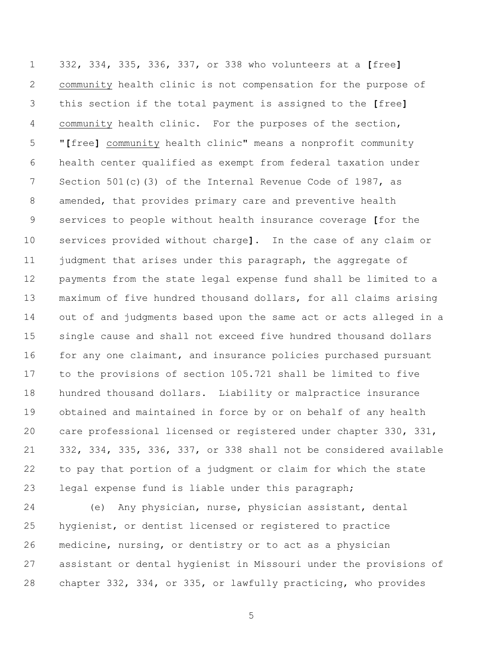332, 334, 335, 336, 337, or 338 who volunteers at a **[**free**]** community health clinic is not compensation for the purpose of this section if the total payment is assigned to the **[**free**]** community health clinic. For the purposes of the section, "**[**free**]** community health clinic" means a nonprofit community health center qualified as exempt from federal taxation under 7 Section 501(c)(3) of the Internal Revenue Code of 1987, as amended, that provides primary care and preventive health services to people without health insurance coverage **[**for the services provided without charge**]**. In the case of any claim or 11 judgment that arises under this paragraph, the aggregate of payments from the state legal expense fund shall be limited to a maximum of five hundred thousand dollars, for all claims arising out of and judgments based upon the same act or acts alleged in a single cause and shall not exceed five hundred thousand dollars for any one claimant, and insurance policies purchased pursuant to the provisions of section 105.721 shall be limited to five hundred thousand dollars. Liability or malpractice insurance obtained and maintained in force by or on behalf of any health care professional licensed or registered under chapter 330, 331, 332, 334, 335, 336, 337, or 338 shall not be considered available to pay that portion of a judgment or claim for which the state legal expense fund is liable under this paragraph;

 (e) Any physician, nurse, physician assistant, dental hygienist, or dentist licensed or registered to practice medicine, nursing, or dentistry or to act as a physician assistant or dental hygienist in Missouri under the provisions of chapter 332, 334, or 335, or lawfully practicing, who provides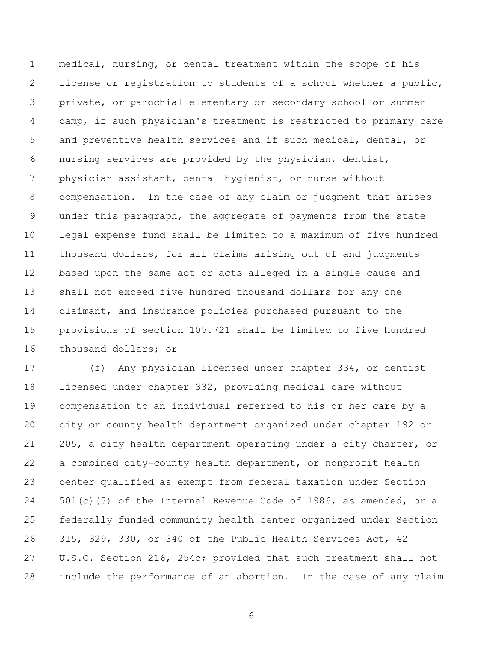medical, nursing, or dental treatment within the scope of his license or registration to students of a school whether a public, private, or parochial elementary or secondary school or summer camp, if such physician's treatment is restricted to primary care and preventive health services and if such medical, dental, or nursing services are provided by the physician, dentist, physician assistant, dental hygienist, or nurse without compensation. In the case of any claim or judgment that arises under this paragraph, the aggregate of payments from the state legal expense fund shall be limited to a maximum of five hundred thousand dollars, for all claims arising out of and judgments based upon the same act or acts alleged in a single cause and shall not exceed five hundred thousand dollars for any one claimant, and insurance policies purchased pursuant to the provisions of section 105.721 shall be limited to five hundred thousand dollars; or

 (f) Any physician licensed under chapter 334, or dentist licensed under chapter 332, providing medical care without compensation to an individual referred to his or her care by a city or county health department organized under chapter 192 or 205, a city health department operating under a city charter, or a combined city-county health department, or nonprofit health center qualified as exempt from federal taxation under Section 501(c)(3) of the Internal Revenue Code of 1986, as amended, or a federally funded community health center organized under Section 315, 329, 330, or 340 of the Public Health Services Act, 42 U.S.C. Section 216, 254c; provided that such treatment shall not include the performance of an abortion. In the case of any claim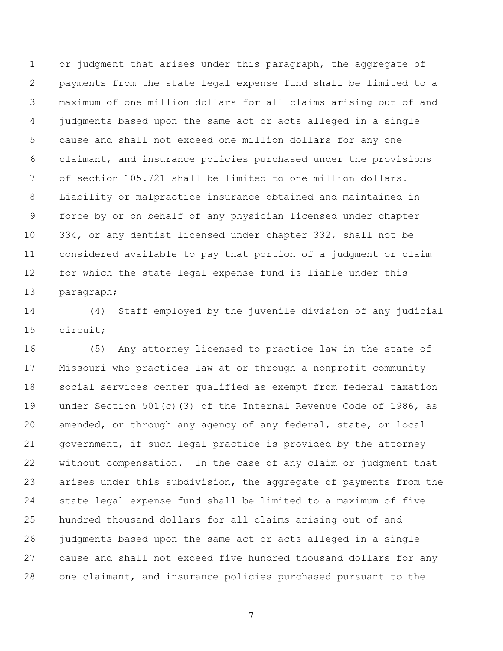or judgment that arises under this paragraph, the aggregate of payments from the state legal expense fund shall be limited to a maximum of one million dollars for all claims arising out of and judgments based upon the same act or acts alleged in a single cause and shall not exceed one million dollars for any one claimant, and insurance policies purchased under the provisions of section 105.721 shall be limited to one million dollars. Liability or malpractice insurance obtained and maintained in force by or on behalf of any physician licensed under chapter 334, or any dentist licensed under chapter 332, shall not be considered available to pay that portion of a judgment or claim for which the state legal expense fund is liable under this paragraph;

 (4) Staff employed by the juvenile division of any judicial circuit;

 (5) Any attorney licensed to practice law in the state of Missouri who practices law at or through a nonprofit community social services center qualified as exempt from federal taxation under Section 501(c)(3) of the Internal Revenue Code of 1986, as amended, or through any agency of any federal, state, or local government, if such legal practice is provided by the attorney without compensation. In the case of any claim or judgment that arises under this subdivision, the aggregate of payments from the state legal expense fund shall be limited to a maximum of five hundred thousand dollars for all claims arising out of and judgments based upon the same act or acts alleged in a single cause and shall not exceed five hundred thousand dollars for any one claimant, and insurance policies purchased pursuant to the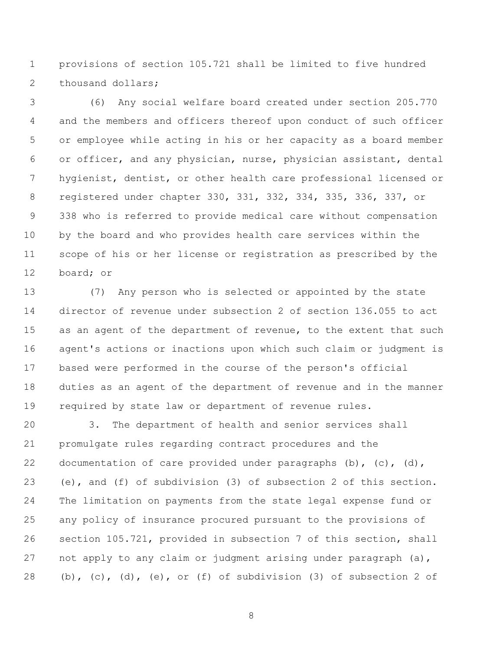provisions of section 105.721 shall be limited to five hundred 2 thousand dollars;

 (6) Any social welfare board created under section 205.770 and the members and officers thereof upon conduct of such officer or employee while acting in his or her capacity as a board member or officer, and any physician, nurse, physician assistant, dental hygienist, dentist, or other health care professional licensed or registered under chapter 330, 331, 332, 334, 335, 336, 337, or 338 who is referred to provide medical care without compensation by the board and who provides health care services within the scope of his or her license or registration as prescribed by the board; or

 (7) Any person who is selected or appointed by the state director of revenue under subsection 2 of section 136.055 to act 15 as an agent of the department of revenue, to the extent that such agent's actions or inactions upon which such claim or judgment is based were performed in the course of the person's official duties as an agent of the department of revenue and in the manner required by state law or department of revenue rules.

 3. The department of health and senior services shall promulgate rules regarding contract procedures and the documentation of care provided under paragraphs (b), (c), (d), (e), and (f) of subdivision (3) of subsection 2 of this section. The limitation on payments from the state legal expense fund or any policy of insurance procured pursuant to the provisions of section 105.721, provided in subsection 7 of this section, shall 27 not apply to any claim or judgment arising under paragraph (a), 28 (b),  $(c)$ ,  $(d)$ ,  $(e)$ , or  $(f)$  of subdivision  $(3)$  of subsection 2 of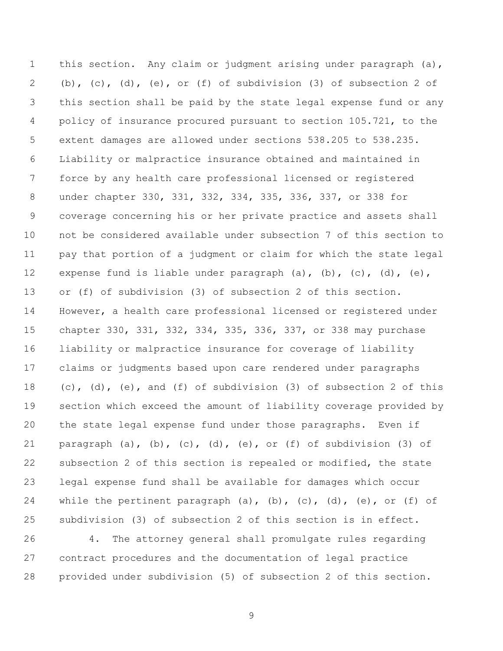1 this section. Any claim or judgment arising under paragraph (a), (b), (c), (d), (e), or (f) of subdivision (3) of subsection 2 of this section shall be paid by the state legal expense fund or any policy of insurance procured pursuant to section 105.721, to the extent damages are allowed under sections 538.205 to 538.235. Liability or malpractice insurance obtained and maintained in force by any health care professional licensed or registered under chapter 330, 331, 332, 334, 335, 336, 337, or 338 for coverage concerning his or her private practice and assets shall not be considered available under subsection 7 of this section to pay that portion of a judgment or claim for which the state legal 12 expense fund is liable under paragraph (a), (b), (c), (d), (e), or (f) of subdivision (3) of subsection 2 of this section. However, a health care professional licensed or registered under chapter 330, 331, 332, 334, 335, 336, 337, or 338 may purchase liability or malpractice insurance for coverage of liability claims or judgments based upon care rendered under paragraphs (c), (d), (e), and (f) of subdivision (3) of subsection 2 of this section which exceed the amount of liability coverage provided by the state legal expense fund under those paragraphs. Even if 21 paragraph (a),  $(b)$ ,  $(c)$ ,  $(d)$ ,  $(e)$ , or  $(f)$  of subdivision (3) of subsection 2 of this section is repealed or modified, the state legal expense fund shall be available for damages which occur 24 while the pertinent paragraph (a), (b), (c), (d), (e), or (f) of subdivision (3) of subsection 2 of this section is in effect.

 4. The attorney general shall promulgate rules regarding contract procedures and the documentation of legal practice provided under subdivision (5) of subsection 2 of this section.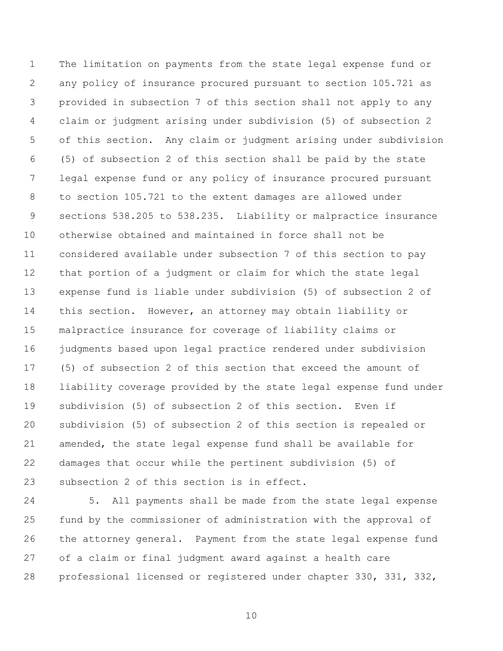The limitation on payments from the state legal expense fund or any policy of insurance procured pursuant to section 105.721 as provided in subsection 7 of this section shall not apply to any claim or judgment arising under subdivision (5) of subsection 2 of this section. Any claim or judgment arising under subdivision (5) of subsection 2 of this section shall be paid by the state legal expense fund or any policy of insurance procured pursuant to section 105.721 to the extent damages are allowed under sections 538.205 to 538.235. Liability or malpractice insurance otherwise obtained and maintained in force shall not be considered available under subsection 7 of this section to pay that portion of a judgment or claim for which the state legal expense fund is liable under subdivision (5) of subsection 2 of this section. However, an attorney may obtain liability or malpractice insurance for coverage of liability claims or judgments based upon legal practice rendered under subdivision (5) of subsection 2 of this section that exceed the amount of liability coverage provided by the state legal expense fund under subdivision (5) of subsection 2 of this section. Even if subdivision (5) of subsection 2 of this section is repealed or amended, the state legal expense fund shall be available for damages that occur while the pertinent subdivision (5) of subsection 2 of this section is in effect.

 5. All payments shall be made from the state legal expense fund by the commissioner of administration with the approval of the attorney general. Payment from the state legal expense fund of a claim or final judgment award against a health care professional licensed or registered under chapter 330, 331, 332,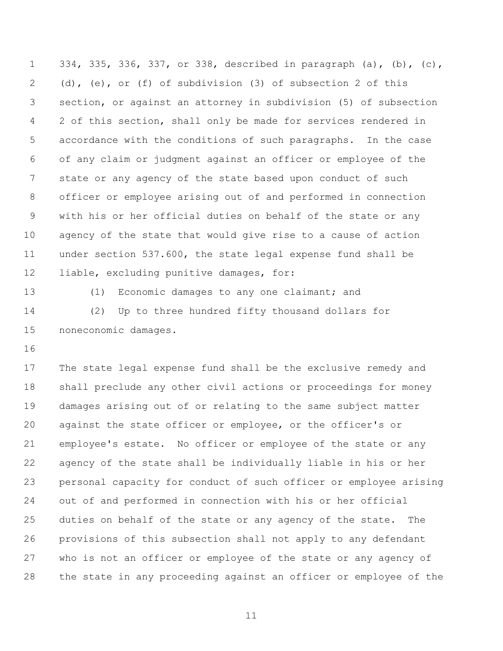334, 335, 336, 337, or 338, described in paragraph (a), (b), (c), (d), (e), or (f) of subdivision (3) of subsection 2 of this section, or against an attorney in subdivision (5) of subsection 2 of this section, shall only be made for services rendered in accordance with the conditions of such paragraphs. In the case of any claim or judgment against an officer or employee of the state or any agency of the state based upon conduct of such officer or employee arising out of and performed in connection with his or her official duties on behalf of the state or any agency of the state that would give rise to a cause of action under section 537.600, the state legal expense fund shall be liable, excluding punitive damages, for:

 (1) Economic damages to any one claimant; and (2) Up to three hundred fifty thousand dollars for noneconomic damages.

 The state legal expense fund shall be the exclusive remedy and shall preclude any other civil actions or proceedings for money damages arising out of or relating to the same subject matter against the state officer or employee, or the officer's or employee's estate. No officer or employee of the state or any agency of the state shall be individually liable in his or her personal capacity for conduct of such officer or employee arising out of and performed in connection with his or her official duties on behalf of the state or any agency of the state. The provisions of this subsection shall not apply to any defendant who is not an officer or employee of the state or any agency of the state in any proceeding against an officer or employee of the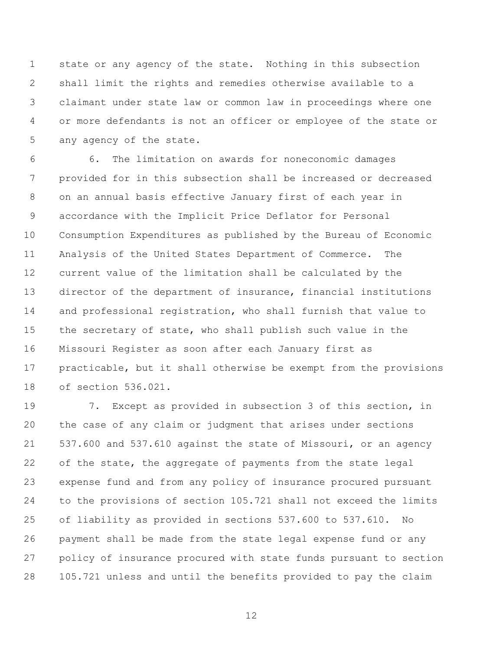state or any agency of the state. Nothing in this subsection shall limit the rights and remedies otherwise available to a claimant under state law or common law in proceedings where one or more defendants is not an officer or employee of the state or any agency of the state.

 6. The limitation on awards for noneconomic damages provided for in this subsection shall be increased or decreased on an annual basis effective January first of each year in accordance with the Implicit Price Deflator for Personal Consumption Expenditures as published by the Bureau of Economic Analysis of the United States Department of Commerce. The current value of the limitation shall be calculated by the director of the department of insurance, financial institutions and professional registration, who shall furnish that value to 15 the secretary of state, who shall publish such value in the Missouri Register as soon after each January first as practicable, but it shall otherwise be exempt from the provisions of section 536.021.

 7. Except as provided in subsection 3 of this section, in the case of any claim or judgment that arises under sections 537.600 and 537.610 against the state of Missouri, or an agency of the state, the aggregate of payments from the state legal expense fund and from any policy of insurance procured pursuant to the provisions of section 105.721 shall not exceed the limits of liability as provided in sections 537.600 to 537.610. No payment shall be made from the state legal expense fund or any policy of insurance procured with state funds pursuant to section 105.721 unless and until the benefits provided to pay the claim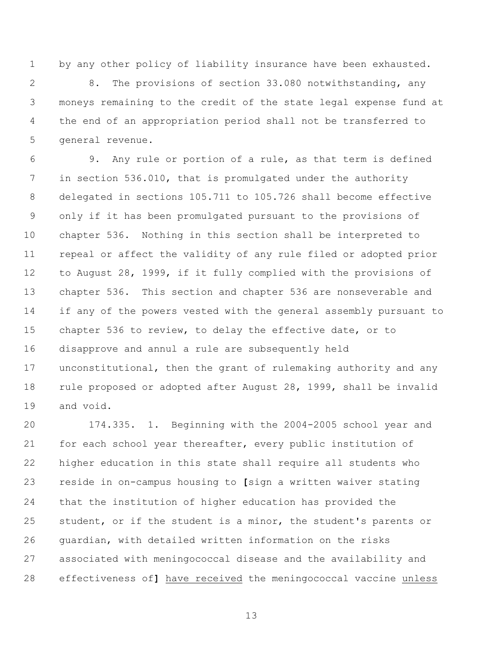by any other policy of liability insurance have been exhausted.

 8. The provisions of section 33.080 notwithstanding, any moneys remaining to the credit of the state legal expense fund at the end of an appropriation period shall not be transferred to general revenue.

 9. Any rule or portion of a rule, as that term is defined in section 536.010, that is promulgated under the authority delegated in sections 105.711 to 105.726 shall become effective only if it has been promulgated pursuant to the provisions of chapter 536. Nothing in this section shall be interpreted to repeal or affect the validity of any rule filed or adopted prior to August 28, 1999, if it fully complied with the provisions of chapter 536. This section and chapter 536 are nonseverable and if any of the powers vested with the general assembly pursuant to chapter 536 to review, to delay the effective date, or to disapprove and annul a rule are subsequently held unconstitutional, then the grant of rulemaking authority and any rule proposed or adopted after August 28, 1999, shall be invalid and void.

 174.335. 1. Beginning with the 2004-2005 school year and for each school year thereafter, every public institution of higher education in this state shall require all students who reside in on-campus housing to **[**sign a written waiver stating that the institution of higher education has provided the student, or if the student is a minor, the student's parents or guardian, with detailed written information on the risks associated with meningococcal disease and the availability and effectiveness of**]** have received the meningococcal vaccine unless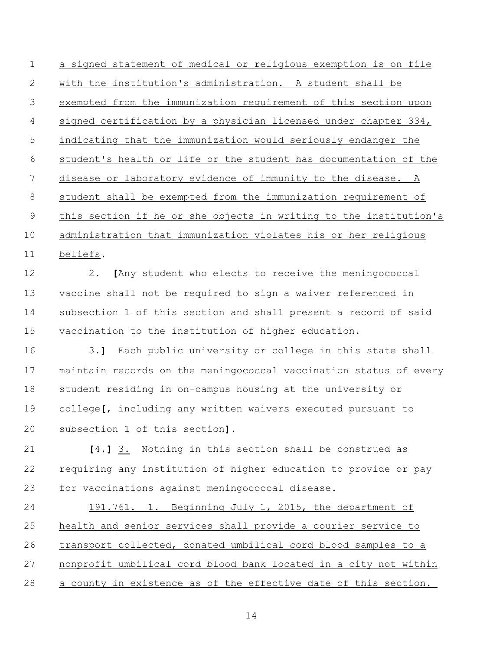a signed statement of medical or religious exemption is on file with the institution's administration. A student shall be exempted from the immunization requirement of this section upon signed certification by a physician licensed under chapter 334, indicating that the immunization would seriously endanger the student's health or life or the student has documentation of the disease or laboratory evidence of immunity to the disease. A student shall be exempted from the immunization requirement of this section if he or she objects in writing to the institution's administration that immunization violates his or her religious beliefs. 2. **[**Any student who elects to receive the meningococcal vaccine shall not be required to sign a waiver referenced in subsection 1 of this section and shall present a record of said vaccination to the institution of higher education. 3.**]** Each public university or college in this state shall maintain records on the meningococcal vaccination status of every student residing in on-campus housing at the university or

 college**[**, including any written waivers executed pursuant to subsection 1 of this section**]**.

 **[**4.**]** 3. Nothing in this section shall be construed as requiring any institution of higher education to provide or pay for vaccinations against meningococcal disease.

 191.761. 1. Beginning July 1, 2015, the department of health and senior services shall provide a courier service to transport collected, donated umbilical cord blood samples to a nonprofit umbilical cord blood bank located in a city not within a county in existence as of the effective date of this section.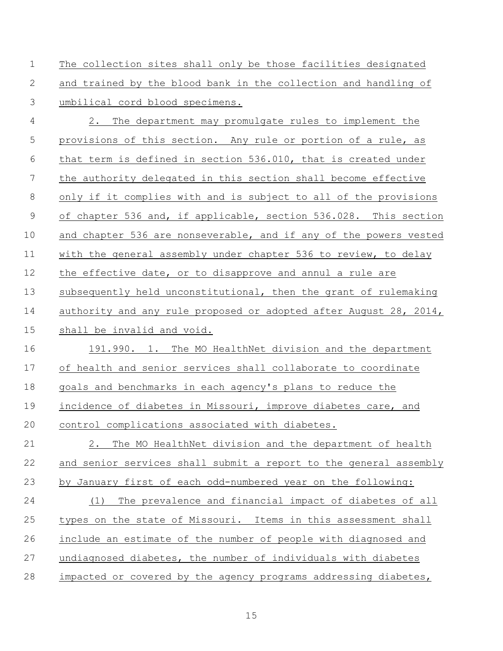The collection sites shall only be those facilities designated and trained by the blood bank in the collection and handling of umbilical cord blood specimens.

 2. The department may promulgate rules to implement the provisions of this section. Any rule or portion of a rule, as that term is defined in section 536.010, that is created under the authority delegated in this section shall become effective only if it complies with and is subject to all of the provisions of chapter 536 and, if applicable, section 536.028. This section and chapter 536 are nonseverable, and if any of the powers vested with the general assembly under chapter 536 to review, to delay the effective date, or to disapprove and annul a rule are subsequently held unconstitutional, then the grant of rulemaking 14 authority and any rule proposed or adopted after August 28, 2014, shall be invalid and void. 191.990. 1. The MO HealthNet division and the department

 of health and senior services shall collaborate to coordinate goals and benchmarks in each agency's plans to reduce the 19 incidence of diabetes in Missouri, improve diabetes care, and control complications associated with diabetes.

 2. The MO HealthNet division and the department of health and senior services shall submit a report to the general assembly by January first of each odd-numbered year on the following:

 (1) The prevalence and financial impact of diabetes of all types on the state of Missouri. Items in this assessment shall include an estimate of the number of people with diagnosed and 27 undiagnosed diabetes, the number of individuals with diabetes impacted or covered by the agency programs addressing diabetes,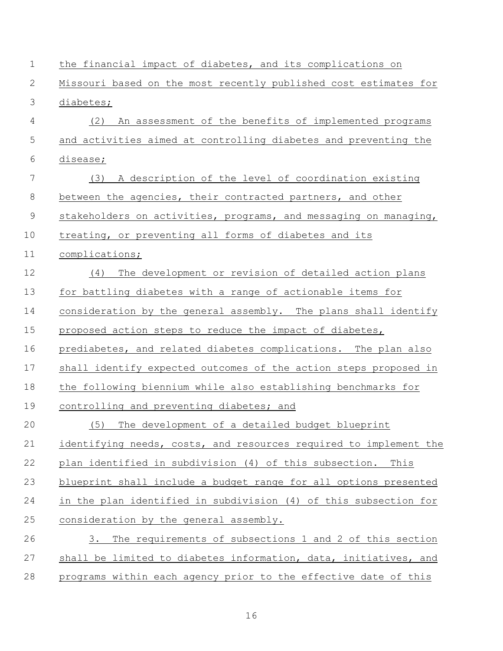| $\mathbf 1$    | the financial impact of diabetes, and its complications on        |
|----------------|-------------------------------------------------------------------|
| 2              | Missouri based on the most recently published cost estimates for  |
| $\mathfrak{Z}$ | diabetes;                                                         |
| 4              | An assessment of the benefits of implemented programs<br>(2)      |
| 5              | and activities aimed at controlling diabetes and preventing the   |
| 6              | disease;                                                          |
| 7              | (3)<br>A description of the level of coordination existing        |
| $8\,$          | between the agencies, their contracted partners, and other        |
| $\mathsf 9$    | stakeholders on activities, programs, and messaging on managing,  |
| 10             | treating, or preventing all forms of diabetes and its             |
| 11             | complications;                                                    |
| 12             | The development or revision of detailed action plans<br>(4)       |
| 13             | for battling diabetes with a range of actionable items for        |
| 14             | consideration by the general assembly. The plans shall identify   |
| 15             | proposed action steps to reduce the impact of diabetes,           |
| 16             | prediabetes, and related diabetes complications. The plan also    |
| 17             | shall identify expected outcomes of the action steps proposed in  |
| 18             | the following biennium while also establishing benchmarks for     |
| 19             | controlling and preventing diabetes; and                          |
| 20             | The development of a detailed budget blueprint<br>(5)             |
| 21             | identifying needs, costs, and resources required to implement the |
| 22             | plan identified in subdivision (4) of this subsection. This       |
| 23             | blueprint shall include a budget range for all options presented  |
| 24             | in the plan identified in subdivision (4) of this subsection for  |
| 25             | consideration by the general assembly.                            |
| 26             | The requirements of subsections 1 and 2 of this section<br>3.     |
| 27             | shall be limited to diabetes information, data, initiatives, and  |
| 28             | programs within each agency prior to the effective date of this   |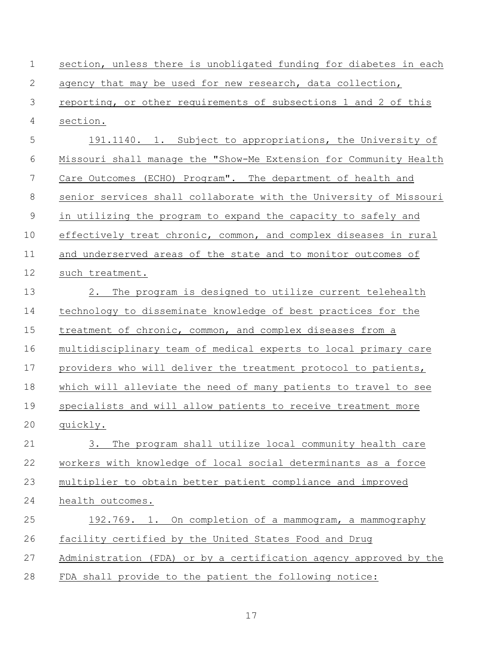| $\mathbf 1$ | section, unless there is unobligated funding for diabetes in each |
|-------------|-------------------------------------------------------------------|
| 2           | agency that may be used for new research, data collection,        |
| 3           | reporting, or other requirements of subsections 1 and 2 of this   |
| 4           | section.                                                          |
| 5           | 191.1140. 1. Subject to appropriations, the University of         |
| 6           | Missouri shall manage the "Show-Me Extension for Community Health |
| 7           | Care Outcomes (ECHO) Program". The department of health and       |
| 8           | senior services shall collaborate with the University of Missouri |
| 9           | in utilizing the program to expand the capacity to safely and     |
| 10          | effectively treat chronic, common, and complex diseases in rural  |
| 11          | and underserved areas of the state and to monitor outcomes of     |
| 12          | such treatment.                                                   |
| 13          | The program is designed to utilize current telehealth<br>2.       |
| 14          | technology to disseminate knowledge of best practices for the     |
| 15          | treatment of chronic, common, and complex diseases from a         |
| 16          | multidisciplinary team of medical experts to local primary care   |
| 17          | providers who will deliver the treatment protocol to patients,    |
| 18          | which will alleviate the need of many patients to travel to see   |
| 19          | specialists and will allow patients to receive treatment more     |
| 20          | quickly.                                                          |
| 21          | 3.<br>The program shall utilize local community health care       |
| 22          | workers with knowledge of local social determinants as a force    |
| 23          | multiplier to obtain better patient compliance and improved       |
| 24          | health outcomes.                                                  |
| 25          | 192.769. 1. On completion of a mammogram, a mammography           |
| 26          | facility certified by the United States Food and Drug             |
| 27          | Administration (FDA) or by a certification agency approved by the |
| 28          | FDA shall provide to the patient the following notice:            |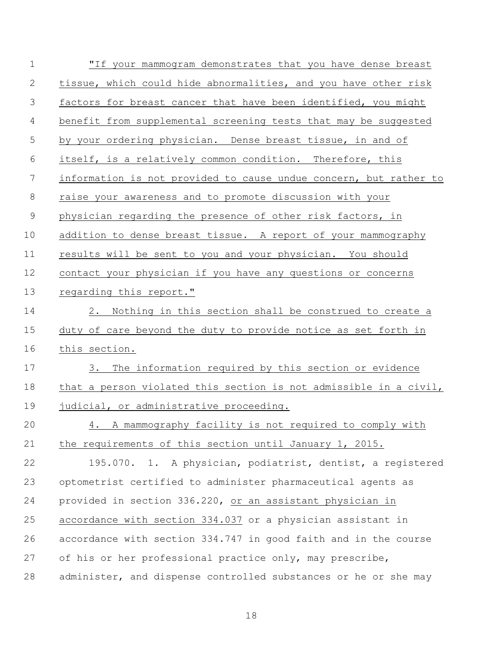| $\mathbf 1$  | "If your mammogram demonstrates that you have dense breast        |
|--------------|-------------------------------------------------------------------|
| $\mathbf{2}$ | tissue, which could hide abnormalities, and you have other risk   |
| 3            | factors for breast cancer that have been identified, you might    |
| 4            | benefit from supplemental screening tests that may be suggested   |
| 5            | by your ordering physician. Dense breast tissue, in and of        |
| 6            | itself, is a relatively common condition. Therefore, this         |
| 7            | information is not provided to cause undue concern, but rather to |
| 8            | raise your awareness and to promote discussion with your          |
| $\mathsf 9$  | physician regarding the presence of other risk factors, in        |
| 10           | addition to dense breast tissue. A report of your mammography     |
| 11           | results will be sent to you and your physician. You should        |
| 12           | contact your physician if you have any questions or concerns      |
| 13           | regarding this report."                                           |
| 14           | Nothing in this section shall be construed to create a<br>2.      |
| 15           | duty of care beyond the duty to provide notice as set forth in    |
| 16           | this section.                                                     |
| 17           | The information required by this section or evidence<br>$3 \cdot$ |
| 18           | that a person violated this section is not admissible in a civil, |
| 19           | judicial, or administrative proceeding.                           |
| 20           | 4. A mammography facility is not required to comply with          |
| 21           | the requirements of this section until January 1, 2015.           |
| 22           | 195.070. 1. A physician, podiatrist, dentist, a registered        |
| 23           | optometrist certified to administer pharmaceutical agents as      |
| 24           | provided in section 336.220, or an assistant physician in         |
| 25           | accordance with section 334.037 or a physician assistant in       |
| 26           | accordance with section 334.747 in good faith and in the course   |
| 27           | of his or her professional practice only, may prescribe,          |
| 28           | administer, and dispense controlled substances or he or she may   |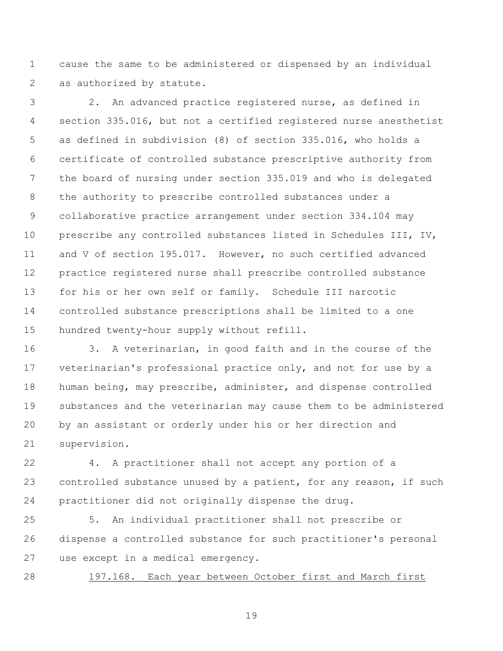cause the same to be administered or dispensed by an individual as authorized by statute.

 2. An advanced practice registered nurse, as defined in section 335.016, but not a certified registered nurse anesthetist as defined in subdivision (8) of section 335.016, who holds a certificate of controlled substance prescriptive authority from the board of nursing under section 335.019 and who is delegated the authority to prescribe controlled substances under a collaborative practice arrangement under section 334.104 may prescribe any controlled substances listed in Schedules III, IV, and V of section 195.017. However, no such certified advanced practice registered nurse shall prescribe controlled substance for his or her own self or family. Schedule III narcotic controlled substance prescriptions shall be limited to a one hundred twenty-hour supply without refill.

 3. A veterinarian, in good faith and in the course of the veterinarian's professional practice only, and not for use by a human being, may prescribe, administer, and dispense controlled substances and the veterinarian may cause them to be administered by an assistant or orderly under his or her direction and supervision.

 4. A practitioner shall not accept any portion of a 23 controlled substance unused by a patient, for any reason, if such practitioner did not originally dispense the drug.

 5. An individual practitioner shall not prescribe or dispense a controlled substance for such practitioner's personal use except in a medical emergency.

197.168. Each year between October first and March first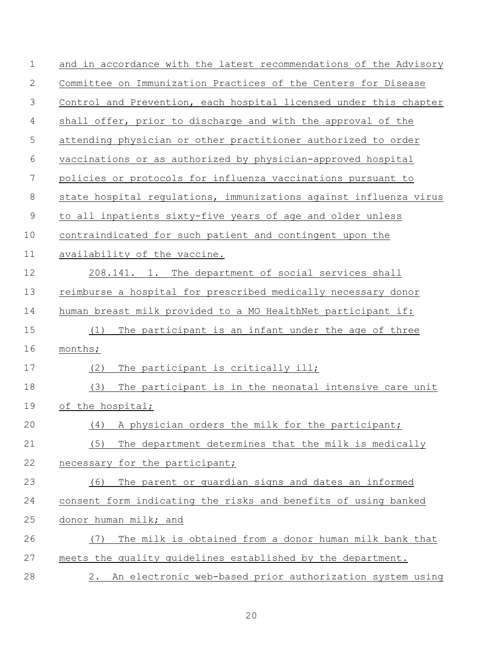| $\mathbf 1$ | and in accordance with the latest recommendations of the Advisory |
|-------------|-------------------------------------------------------------------|
| 2           | Committee on Immunization Practices of the Centers for Disease    |
| 3           | Control and Prevention, each hospital licensed under this chapter |
| 4           | shall offer, prior to discharge and with the approval of the      |
| 5           | attending physician or other practitioner authorized to order     |
| 6           | vaccinations or as authorized by physician-approved hospital      |
| 7           | policies or protocols for influenza vaccinations pursuant to      |
| 8           | state hospital regulations, immunizations against influenza virus |
| $\mathsf 9$ | to all inpatients sixty-five years of age and older unless        |
| 10          | contraindicated for such patient and contingent upon the          |
| 11          | availability of the vaccine.                                      |
| 12          | 208.141. 1. The department of social services shall               |
| 13          | reimburse a hospital for prescribed medically necessary donor     |
| 14          | human breast milk provided to a MO HealthNet participant if:      |
| 15          | The participant is an infant under the age of three<br>(1)        |
| 16          | months;                                                           |
| 17          | The participant is critically ill;<br>(2)                         |
| 18          | (3)<br>The participant is in the neonatal intensive care unit     |
| 19          | of the hospital;                                                  |
| 20          | (4) A physician orders the milk for the participant;              |
| 21          | The department determines that the milk is medically<br>(5)       |
| 22          | necessary for the participant;                                    |
| 23          | The parent or guardian signs and dates an informed<br>(6)         |
| 24          | consent form indicating the risks and benefits of using banked    |
| 25          | donor human milk; and                                             |
| 26          | The milk is obtained from a donor human milk bank that<br>(7)     |
| 27          | meets the quality guidelines established by the department.       |
| 28          | 2. An electronic web-based prior authorization system using       |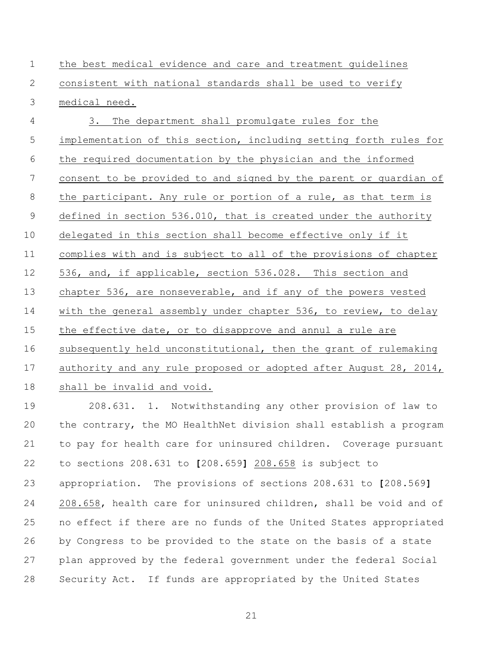the best medical evidence and care and treatment guidelines consistent with national standards shall be used to verify medical need.

 3. The department shall promulgate rules for the implementation of this section, including setting forth rules for the required documentation by the physician and the informed consent to be provided to and signed by the parent or guardian of the participant. Any rule or portion of a rule, as that term is 9 defined in section 536.010, that is created under the authority delegated in this section shall become effective only if it complies with and is subject to all of the provisions of chapter 536, and, if applicable, section 536.028. This section and chapter 536, are nonseverable, and if any of the powers vested with the general assembly under chapter 536, to review, to delay the effective date, or to disapprove and annul a rule are subsequently held unconstitutional, then the grant of rulemaking 17 authority and any rule proposed or adopted after August 28, 2014, shall be invalid and void.

 208.631. 1. Notwithstanding any other provision of law to the contrary, the MO HealthNet division shall establish a program to pay for health care for uninsured children. Coverage pursuant to sections 208.631 to **[**208.659**]** 208.658 is subject to appropriation. The provisions of sections 208.631 to **[**208.569**]** 24 208.658, health care for uninsured children, shall be void and of no effect if there are no funds of the United States appropriated by Congress to be provided to the state on the basis of a state plan approved by the federal government under the federal Social Security Act. If funds are appropriated by the United States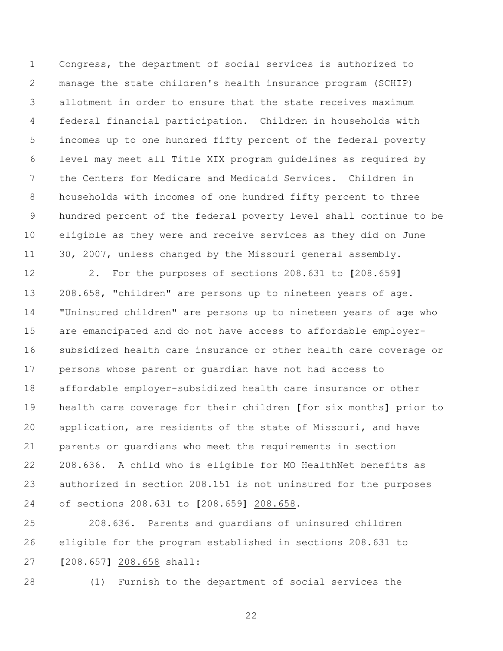Congress, the department of social services is authorized to manage the state children's health insurance program (SCHIP) allotment in order to ensure that the state receives maximum federal financial participation. Children in households with incomes up to one hundred fifty percent of the federal poverty level may meet all Title XIX program guidelines as required by the Centers for Medicare and Medicaid Services. Children in households with incomes of one hundred fifty percent to three hundred percent of the federal poverty level shall continue to be eligible as they were and receive services as they did on June 30, 2007, unless changed by the Missouri general assembly.

 2. For the purposes of sections 208.631 to **[**208.659**]** 208.658, "children" are persons up to nineteen years of age. "Uninsured children" are persons up to nineteen years of age who are emancipated and do not have access to affordable employer- subsidized health care insurance or other health care coverage or persons whose parent or guardian have not had access to affordable employer-subsidized health care insurance or other health care coverage for their children **[**for six months**]** prior to application, are residents of the state of Missouri, and have parents or guardians who meet the requirements in section 208.636. A child who is eligible for MO HealthNet benefits as authorized in section 208.151 is not uninsured for the purposes of sections 208.631 to **[**208.659**]** 208.658.

 208.636. Parents and guardians of uninsured children eligible for the program established in sections 208.631 to **[**208.657**]** 208.658 shall:

(1) Furnish to the department of social services the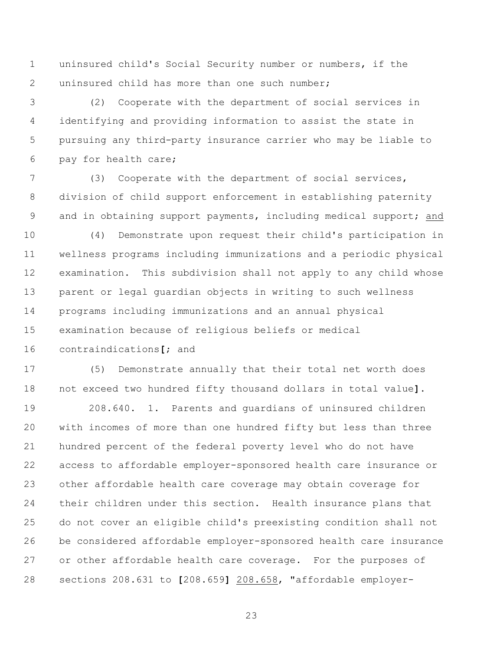uninsured child's Social Security number or numbers, if the uninsured child has more than one such number;

 (2) Cooperate with the department of social services in identifying and providing information to assist the state in pursuing any third-party insurance carrier who may be liable to pay for health care;

 (3) Cooperate with the department of social services, division of child support enforcement in establishing paternity and in obtaining support payments, including medical support; and

 (4) Demonstrate upon request their child's participation in wellness programs including immunizations and a periodic physical examination. This subdivision shall not apply to any child whose parent or legal guardian objects in writing to such wellness programs including immunizations and an annual physical examination because of religious beliefs or medical contraindications**[**; and

 (5) Demonstrate annually that their total net worth does not exceed two hundred fifty thousand dollars in total value**]**.

 208.640. 1. Parents and guardians of uninsured children with incomes of more than one hundred fifty but less than three hundred percent of the federal poverty level who do not have access to affordable employer-sponsored health care insurance or other affordable health care coverage may obtain coverage for their children under this section. Health insurance plans that do not cover an eligible child's preexisting condition shall not be considered affordable employer-sponsored health care insurance or other affordable health care coverage. For the purposes of sections 208.631 to **[**208.659**]** 208.658, "affordable employer-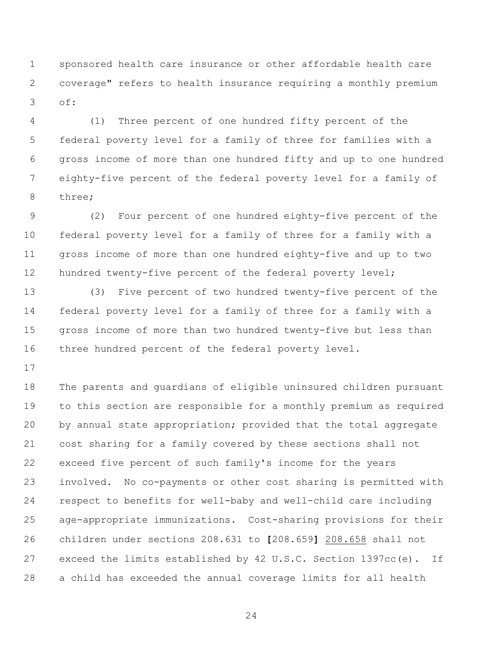sponsored health care insurance or other affordable health care coverage" refers to health insurance requiring a monthly premium of:

 (1) Three percent of one hundred fifty percent of the federal poverty level for a family of three for families with a gross income of more than one hundred fifty and up to one hundred eighty-five percent of the federal poverty level for a family of three;

 (2) Four percent of one hundred eighty-five percent of the federal poverty level for a family of three for a family with a gross income of more than one hundred eighty-five and up to two 12 hundred twenty-five percent of the federal poverty level;

 (3) Five percent of two hundred twenty-five percent of the federal poverty level for a family of three for a family with a gross income of more than two hundred twenty-five but less than three hundred percent of the federal poverty level.

 The parents and guardians of eligible uninsured children pursuant to this section are responsible for a monthly premium as required 20 by annual state appropriation; provided that the total aggregate cost sharing for a family covered by these sections shall not exceed five percent of such family's income for the years involved. No co-payments or other cost sharing is permitted with respect to benefits for well-baby and well-child care including age-appropriate immunizations. Cost-sharing provisions for their children under sections 208.631 to **[**208.659**]** 208.658 shall not exceed the limits established by 42 U.S.C. Section 1397cc(e). If a child has exceeded the annual coverage limits for all health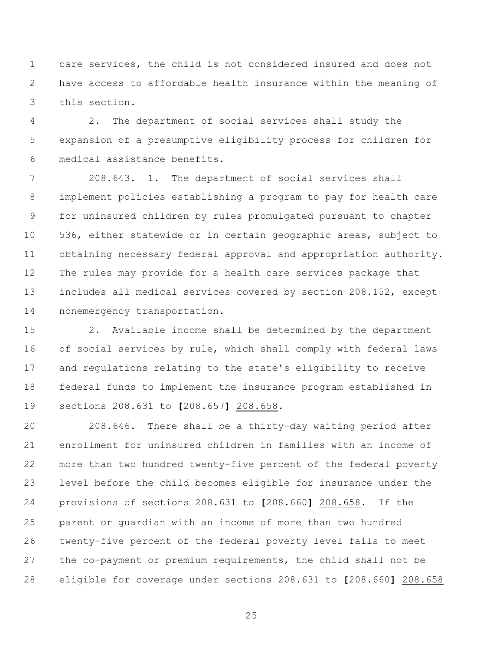care services, the child is not considered insured and does not have access to affordable health insurance within the meaning of this section.

 2. The department of social services shall study the expansion of a presumptive eligibility process for children for medical assistance benefits.

 208.643. 1. The department of social services shall implement policies establishing a program to pay for health care for uninsured children by rules promulgated pursuant to chapter 536, either statewide or in certain geographic areas, subject to obtaining necessary federal approval and appropriation authority. The rules may provide for a health care services package that includes all medical services covered by section 208.152, except nonemergency transportation.

 2. Available income shall be determined by the department of social services by rule, which shall comply with federal laws and regulations relating to the state's eligibility to receive federal funds to implement the insurance program established in sections 208.631 to **[**208.657**]** 208.658.

 208.646. There shall be a thirty-day waiting period after enrollment for uninsured children in families with an income of more than two hundred twenty-five percent of the federal poverty level before the child becomes eligible for insurance under the provisions of sections 208.631 to **[**208.660**]** 208.658. If the parent or guardian with an income of more than two hundred twenty-five percent of the federal poverty level fails to meet the co-payment or premium requirements, the child shall not be eligible for coverage under sections 208.631 to **[**208.660**]** 208.658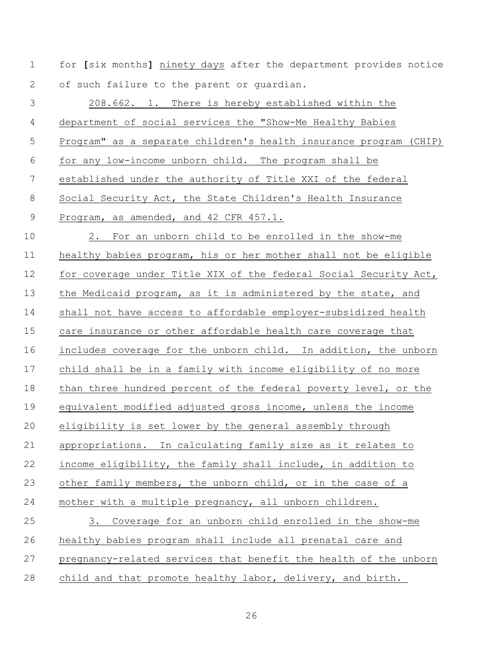for **[**six months**]** ninety days after the department provides notice 2 of such failure to the parent or quardian.

 208.662. 1. There is hereby established within the department of social services the "Show-Me Healthy Babies Program" as a separate children's health insurance program (CHIP) for any low-income unborn child. The program shall be established under the authority of Title XXI of the federal Social Security Act, the State Children's Health Insurance Program, as amended, and 42 CFR 457.1. 2. For an unborn child to be enrolled in the show-me healthy babies program, his or her mother shall not be eligible for coverage under Title XIX of the federal Social Security Act, 13 the Medicaid program, as it is administered by the state, and shall not have access to affordable employer-subsidized health care insurance or other affordable health care coverage that includes coverage for the unborn child. In addition, the unborn child shall be in a family with income eligibility of no more 18 than three hundred percent of the federal poverty level, or the equivalent modified adjusted gross income, unless the income eligibility is set lower by the general assembly through appropriations. In calculating family size as it relates to income eligibility, the family shall include, in addition to other family members, the unborn child, or in the case of a mother with a multiple pregnancy, all unborn children. 3. Coverage for an unborn child enrolled in the show-me healthy babies program shall include all prenatal care and pregnancy-related services that benefit the health of the unborn child and that promote healthy labor, delivery, and birth.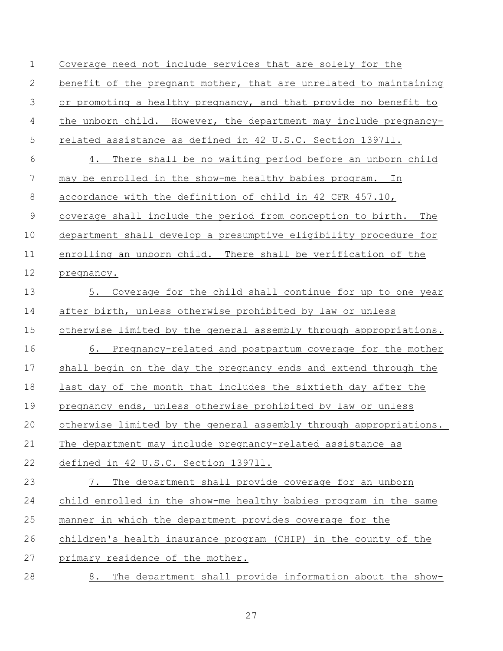Coverage need not include services that are solely for the 2 benefit of the pregnant mother, that are unrelated to maintaining or promoting a healthy pregnancy, and that provide no benefit to the unborn child. However, the department may include pregnancy- related assistance as defined in 42 U.S.C. Section 1397ll. 4. There shall be no waiting period before an unborn child may be enrolled in the show-me healthy babies program. In accordance with the definition of child in 42 CFR 457.10, coverage shall include the period from conception to birth. The department shall develop a presumptive eligibility procedure for enrolling an unborn child. There shall be verification of the pregnancy. 5. Coverage for the child shall continue for up to one year after birth, unless otherwise prohibited by law or unless otherwise limited by the general assembly through appropriations. 6. Pregnancy-related and postpartum coverage for the mother shall begin on the day the pregnancy ends and extend through the last day of the month that includes the sixtieth day after the 19 pregnancy ends, unless otherwise prohibited by law or unless otherwise limited by the general assembly through appropriations. The department may include pregnancy-related assistance as defined in 42 U.S.C. Section 1397ll. 7. The department shall provide coverage for an unborn child enrolled in the show-me healthy babies program in the same manner in which the department provides coverage for the children's health insurance program (CHIP) in the county of the primary residence of the mother. 8. The department shall provide information about the show-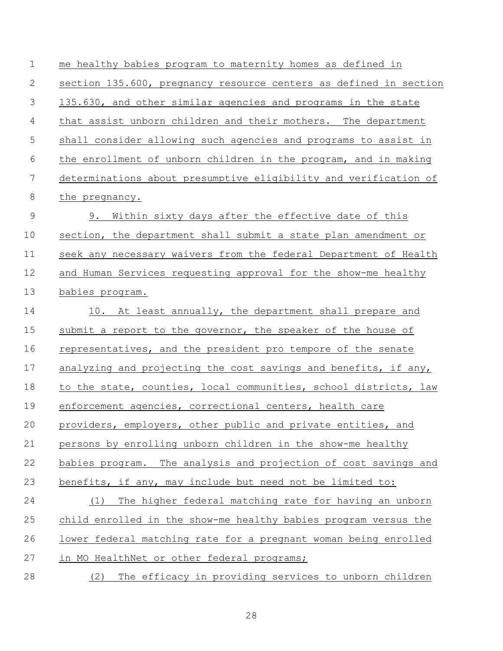me healthy babies program to maternity homes as defined in section 135.600, pregnancy resource centers as defined in section 135.630, and other similar agencies and programs in the state that assist unborn children and their mothers. The department shall consider allowing such agencies and programs to assist in the enrollment of unborn children in the program, and in making determinations about presumptive eligibility and verification of the pregnancy. 9. Within sixty days after the effective date of this section, the department shall submit a state plan amendment or seek any necessary waivers from the federal Department of Health and Human Services requesting approval for the show-me healthy babies program. 14 10. At least annually, the department shall prepare and 15 submit a report to the governor, the speaker of the house of representatives, and the president pro tempore of the senate 17 analyzing and projecting the cost savings and benefits, if any, to the state, counties, local communities, school districts, law enforcement agencies, correctional centers, health care providers, employers, other public and private entities, and persons by enrolling unborn children in the show-me healthy babies program. The analysis and projection of cost savings and benefits, if any, may include but need not be limited to: (1) The higher federal matching rate for having an unborn child enrolled in the show-me healthy babies program versus the lower federal matching rate for a pregnant woman being enrolled 27 in MO HealthNet or other federal programs; (2) The efficacy in providing services to unborn children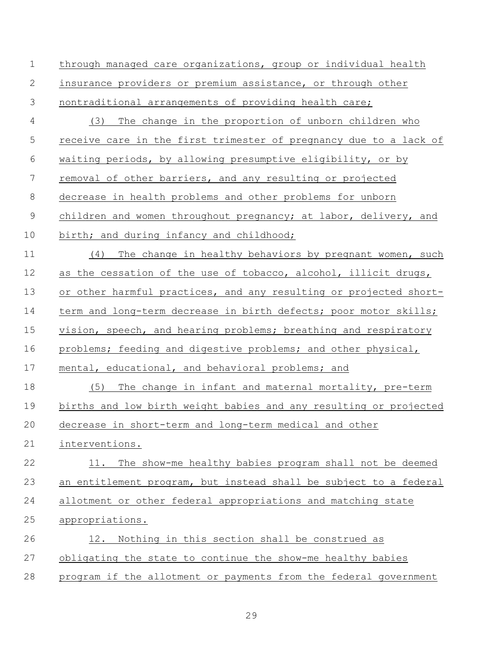| $\mathbf 1$    | through managed care organizations, group or individual health    |
|----------------|-------------------------------------------------------------------|
| 2              | insurance providers or premium assistance, or through other       |
| $\mathcal{S}$  | nontraditional arrangements of providing health care;             |
| $\overline{4}$ | (3)<br>The change in the proportion of unborn children who        |
| 5              | receive care in the first trimester of pregnancy due to a lack of |
| 6              | waiting periods, by allowing presumptive eligibility, or by       |
| 7              | removal of other barriers, and any resulting or projected         |
| $8\,$          | decrease in health problems and other problems for unborn         |
| $\mathcal{G}$  | children and women throughout pregnancy; at labor, delivery, and  |
| 10             | birth; and during infancy and childhood;                          |
| 11             | The change in healthy behaviors by pregnant women, such<br>(4)    |
| 12             | as the cessation of the use of tobacco, alcohol, illicit drugs,   |
| 13             | or other harmful practices, and any resulting or projected short- |
| 14             | term and long-term decrease in birth defects; poor motor skills;  |
| 15             | vision, speech, and hearing problems; breathing and respiratory   |
| 16             | problems; feeding and digestive problems; and other physical,     |
| 17             | mental, educational, and behavioral problems; and                 |
| 18             | (5)<br>The change in infant and maternal mortality, pre-term      |
| 19             | births and low birth weight babies and any resulting or projected |
| 20             | decrease in short-term and long-term medical and other            |
| 21             | interventions.                                                    |
| 22             | The show-me healthy babies program shall not be deemed<br>11.     |
| 23             | an entitlement program, but instead shall be subject to a federal |
| 24             | allotment or other federal appropriations and matching state      |
| 25             | appropriations.                                                   |
| 26             | 12. Nothing in this section shall be construed as                 |
| 27             | obligating the state to continue the show-me healthy babies       |
| 28             | program if the allotment or payments from the federal government  |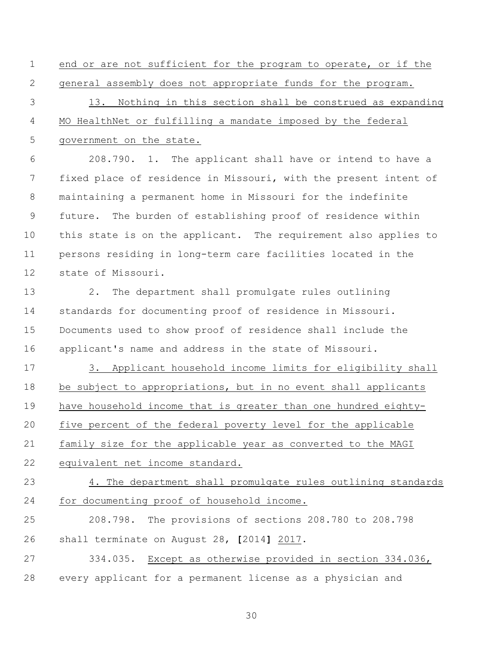end or are not sufficient for the program to operate, or if the general assembly does not appropriate funds for the program. 13. Nothing in this section shall be construed as expanding MO HealthNet or fulfilling a mandate imposed by the federal government on the state.

 208.790. 1. The applicant shall have or intend to have a fixed place of residence in Missouri, with the present intent of maintaining a permanent home in Missouri for the indefinite future. The burden of establishing proof of residence within this state is on the applicant. The requirement also applies to persons residing in long-term care facilities located in the state of Missouri.

 2. The department shall promulgate rules outlining standards for documenting proof of residence in Missouri. Documents used to show proof of residence shall include the applicant's name and address in the state of Missouri.

 3. Applicant household income limits for eligibility shall be subject to appropriations, but in no event shall applicants have household income that is greater than one hundred eighty- five percent of the federal poverty level for the applicable family size for the applicable year as converted to the MAGI equivalent net income standard.

 4. The department shall promulgate rules outlining standards for documenting proof of household income.

 208.798. The provisions of sections 208.780 to 208.798 shall terminate on August 28, **[**2014**]** 2017.

 334.035. Except as otherwise provided in section 334.036, every applicant for a permanent license as a physician and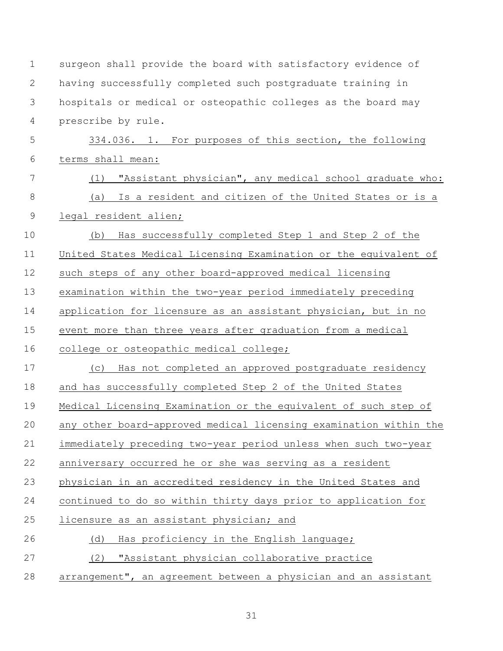| $\mathbf 1$    | surgeon shall provide the board with satisfactory evidence of     |
|----------------|-------------------------------------------------------------------|
| $\mathbf{2}$   | having successfully completed such postgraduate training in       |
| 3              | hospitals or medical or osteopathic colleges as the board may     |
| $\overline{4}$ | prescribe by rule.                                                |
| 5              | 334.036. 1. For purposes of this section, the following           |
| 6              | terms shall mean:                                                 |
| 7              | "Assistant physician", any medical school graduate who:<br>(1)    |
| $8\,$          | (a) Is a resident and citizen of the United States or is a        |
| $\mathsf 9$    | legal resident alien;                                             |
| 10             | Has successfully completed Step 1 and Step 2 of the<br>(b)        |
| 11             | United States Medical Licensing Examination or the equivalent of  |
| 12             | such steps of any other board-approved medical licensing          |
| 13             | examination within the two-year period immediately preceding      |
| 14             | application for licensure as an assistant physician, but in no    |
| 15             | event more than three years after graduation from a medical       |
| 16             | college or osteopathic medical college;                           |
| 17             | Has not completed an approved postgraduate residency<br>(C)       |
| 18             | and has successfully completed Step 2 of the United States        |
| 19             | Medical Licensing Examination or the equivalent of such step of   |
| 20             | any other board-approved medical licensing examination within the |
| 21             | immediately preceding two-year period unless when such two-year   |
| 22             | anniversary occurred he or she was serving as a resident          |
| 23             | physician in an accredited residency in the United States and     |
| 24             | continued to do so within thirty days prior to application for    |
| 25             | licensure as an assistant physician; and                          |
| 26             | (d)<br>Has proficiency in the English language;                   |
| 27             | "Assistant physician collaborative practice<br>(2)                |
| 28             | arrangement", an agreement between a physician and an assistant   |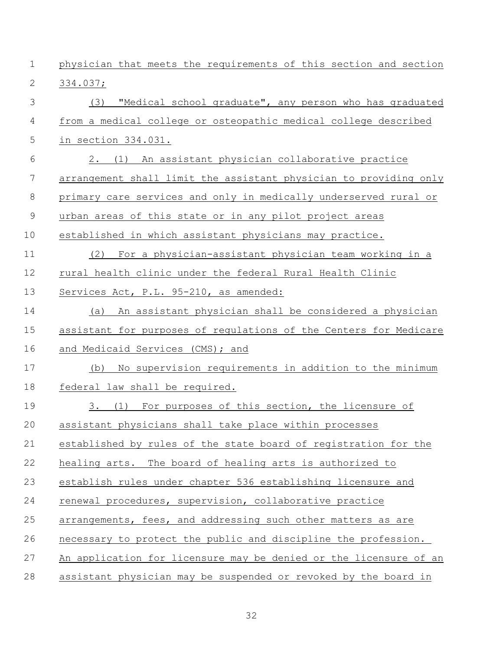| $\mathbf 1$    | physician that meets the requirements of this section and section |
|----------------|-------------------------------------------------------------------|
| $\mathbf{2}$   | 334.037;                                                          |
| 3              | "Medical school graduate", any person who has graduated<br>(3)    |
| 4              | from a medical college or osteopathic medical college described   |
| 5              | in section 334.031.                                               |
| 6              | 2. (1) An assistant physician collaborative practice              |
| $\overline{7}$ | arrangement shall limit the assistant physician to providing only |
| 8              | primary care services and only in medically underserved rural or  |
| $\mathcal{G}$  | urban areas of this state or in any pilot project areas           |
| 10             | established in which assistant physicians may practice.           |
| 11             | (2)<br>For a physician-assistant physician team working in a      |
| 12             | rural health clinic under the federal Rural Health Clinic         |
| 13             | Services Act, P.L. 95-210, as amended:                            |
| 14             | An assistant physician shall be considered a physician<br>(a)     |
| 15             | assistant for purposes of regulations of the Centers for Medicare |
| 16             | and Medicaid Services (CMS); and                                  |
| 17             | No supervision requirements in addition to the minimum<br>(b)     |
| 18             | federal law shall be required.                                    |
| 19             | 3. (1) For purposes of this section, the licensure of             |
| 20             | assistant physicians shall take place within processes            |
| 21             | established by rules of the state board of registration for the   |
| 22             | healing arts. The board of healing arts is authorized to          |
| 23             | establish rules under chapter 536 establishing licensure and      |
| 24             | renewal procedures, supervision, collaborative practice           |
| 25             | arrangements, fees, and addressing such other matters as are      |
| 26             | necessary to protect the public and discipline the profession.    |
| 27             | An application for licensure may be denied or the licensure of an |
| 28             | assistant physician may be suspended or revoked by the board in   |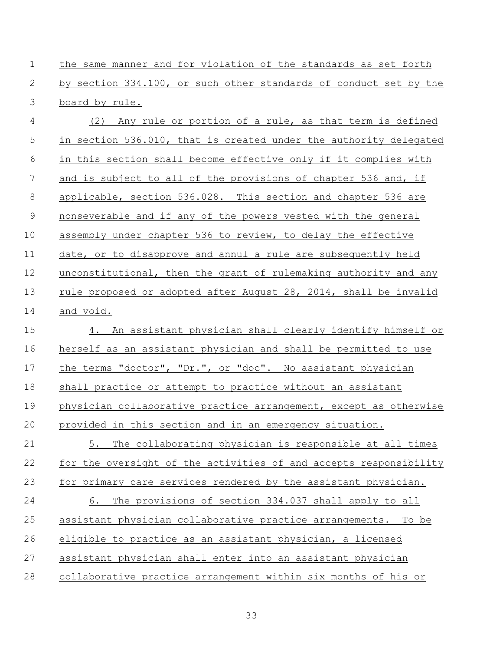the same manner and for violation of the standards as set forth by section 334.100, or such other standards of conduct set by the board by rule.

 (2) Any rule or portion of a rule, as that term is defined 5 in section 536.010, that is created under the authority delegated in this section shall become effective only if it complies with and is subject to all of the provisions of chapter 536 and, if applicable, section 536.028. This section and chapter 536 are nonseverable and if any of the powers vested with the general assembly under chapter 536 to review, to delay the effective date, or to disapprove and annul a rule are subsequently held unconstitutional, then the grant of rulemaking authority and any rule proposed or adopted after August 28, 2014, shall be invalid and void.

 4. An assistant physician shall clearly identify himself or herself as an assistant physician and shall be permitted to use the terms "doctor", "Dr.", or "doc". No assistant physician shall practice or attempt to practice without an assistant physician collaborative practice arrangement, except as otherwise provided in this section and in an emergency situation. 5. The collaborating physician is responsible at all times for the oversight of the activities of and accepts responsibility for primary care services rendered by the assistant physician. 6. The provisions of section 334.037 shall apply to all assistant physician collaborative practice arrangements. To be eligible to practice as an assistant physician, a licensed assistant physician shall enter into an assistant physician collaborative practice arrangement within six months of his or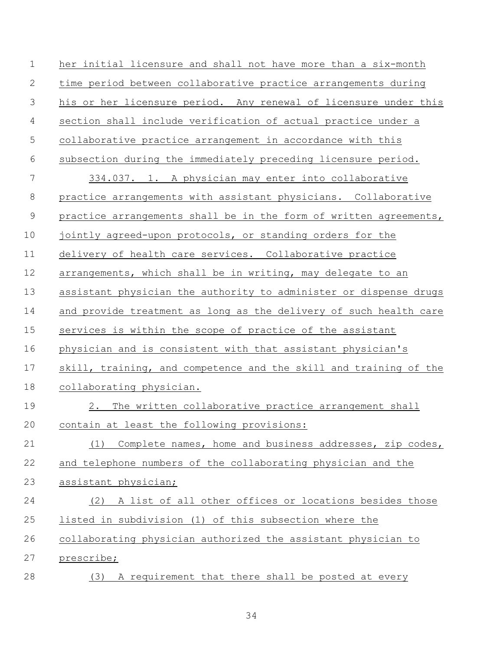| $\mathbf 1$    | her initial licensure and shall not have more than a six-month    |
|----------------|-------------------------------------------------------------------|
| 2              | time period between collaborative practice arrangements during    |
| 3              | his or her licensure period. Any renewal of licensure under this  |
| $\overline{4}$ | section shall include verification of actual practice under a     |
| 5              | collaborative practice arrangement in accordance with this        |
| 6              | subsection during the immediately preceding licensure period.     |
| 7              | 334.037. 1. A physician may enter into collaborative              |
| $8\,$          | practice arrangements with assistant physicians. Collaborative    |
| $\mathcal{G}$  | practice arrangements shall be in the form of written agreements, |
| 10             | jointly agreed-upon protocols, or standing orders for the         |
| 11             | delivery of health care services. Collaborative practice          |
| 12             | arrangements, which shall be in writing, may delegate to an       |
| 13             | assistant physician the authority to administer or dispense drugs |
| 14             | and provide treatment as long as the delivery of such health care |
| 15             | services is within the scope of practice of the assistant         |
| 16             | physician and is consistent with that assistant physician's       |
| 17             | skill, training, and competence and the skill and training of the |
| 18             | collaborating physician.                                          |
| 19             | 2. The written collaborative practice arrangement shall           |
| 20             | contain at least the following provisions:                        |
| 21             | Complete names, home and business addresses, zip codes,<br>(1)    |
| 22             | and telephone numbers of the collaborating physician and the      |
| 23             | assistant physician;                                              |
| 24             | A list of all other offices or locations besides those<br>(2)     |
| 25             | listed in subdivision (1) of this subsection where the            |
| 26             | collaborating physician authorized the assistant physician to     |
| 27             | prescribe;                                                        |
| 28             | A requirement that there shall be posted at every<br>(3)          |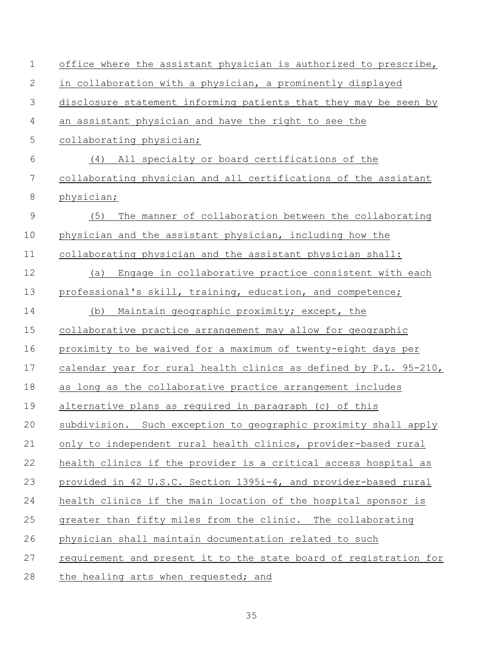| $\mathbf 1$  | office where the assistant physician is authorized to prescribe,  |
|--------------|-------------------------------------------------------------------|
| $\mathbf{2}$ | in collaboration with a physician, a prominently displayed        |
| 3            | disclosure statement informing patients that they may be seen by  |
| 4            | an assistant physician and have the right to see the              |
| 5            | collaborating physician;                                          |
| 6            | (4) All specialty or board certifications of the                  |
| 7            | collaborating physician and all certifications of the assistant   |
| $\,8\,$      | physician;                                                        |
| $\mathsf 9$  | The manner of collaboration between the collaborating<br>(5)      |
| 10           | physician and the assistant physician, including how the          |
| 11           | collaborating physician and the assistant physician shall:        |
| 12           | Engage in collaborative practice consistent with each<br>(a)      |
| 13           | professional's skill, training, education, and competence;        |
| 14           | Maintain geographic proximity; except, the<br>(b)                 |
| 15           | collaborative practice arrangement may allow for geographic       |
| 16           | proximity to be waived for a maximum of twenty-eight days per     |
| 17           | calendar year for rural health clinics as defined by P.L. 95-210, |
| 18           | as long as the collaborative practice arrangement includes        |
| 19           | alternative plans as required in paragraph (c) of this            |
| 20           | subdivision. Such exception to geographic proximity shall apply   |
| 21           | only to independent rural health clinics, provider-based rural    |
| 22           | health clinics if the provider is a critical access hospital as   |
| 23           | provided in 42 U.S.C. Section 1395i-4, and provider-based rural   |
| 24           | health clinics if the main location of the hospital sponsor is    |
| 25           | greater than fifty miles from the clinic. The collaborating       |
| 26           | physician shall maintain documentation related to such            |
| 27           | requirement and present it to the state board of registration for |
| 28           | the healing arts when requested; and                              |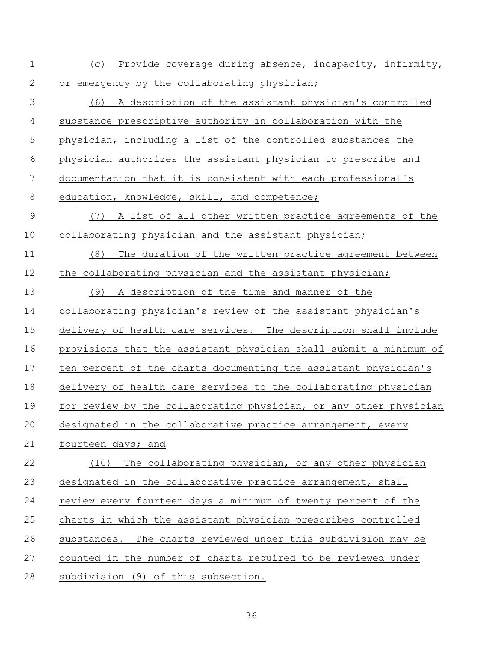(c) Provide coverage during absence, incapacity, infirmity, 2 or emergency by the collaborating physician; (6) A description of the assistant physician's controlled substance prescriptive authority in collaboration with the physician, including a list of the controlled substances the physician authorizes the assistant physician to prescribe and documentation that it is consistent with each professional's 8 education, knowledge, skill, and competence; (7) A list of all other written practice agreements of the collaborating physician and the assistant physician; (8) The duration of the written practice agreement between 12 the collaborating physician and the assistant physician; (9) A description of the time and manner of the collaborating physician's review of the assistant physician's delivery of health care services. The description shall include provisions that the assistant physician shall submit a minimum of ten percent of the charts documenting the assistant physician's delivery of health care services to the collaborating physician 19 for review by the collaborating physician, or any other physician designated in the collaborative practice arrangement, every fourteen days; and (10) The collaborating physician, or any other physician designated in the collaborative practice arrangement, shall review every fourteen days a minimum of twenty percent of the charts in which the assistant physician prescribes controlled substances. The charts reviewed under this subdivision may be counted in the number of charts required to be reviewed under subdivision (9) of this subsection.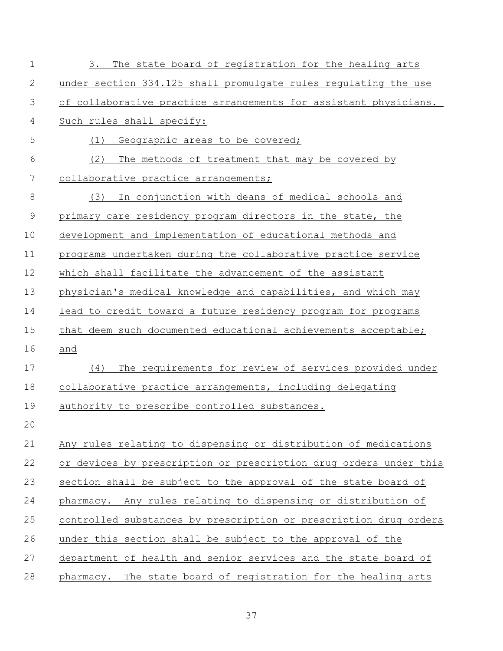| $\mathbf 1$  | The state board of registration for the healing arts<br>3.        |
|--------------|-------------------------------------------------------------------|
| $\mathbf{2}$ | under section 334.125 shall promulgate rules regulating the use   |
| 3            | of collaborative practice arrangements for assistant physicians.  |
| 4            | Such rules shall specify:                                         |
| 5            | Geographic areas to be covered;<br>(1)                            |
| 6            | (2)<br>The methods of treatment that may be covered by            |
| 7            | collaborative practice arrangements;                              |
| $\,8\,$      | In conjunction with deans of medical schools and<br>(3)           |
| 9            | primary care residency program directors in the state, the        |
| 10           | development and implementation of educational methods and         |
| 11           | programs undertaken during the collaborative practice service     |
| 12           | which shall facilitate the advancement of the assistant           |
| 13           | physician's medical knowledge and capabilities, and which may     |
| 14           | lead to credit toward a future residency program for programs     |
| 15           | that deem such documented educational achievements acceptable;    |
| 16           | and                                                               |
| 17           | The requirements for review of services provided under<br>(4)     |
| 18           | collaborative practice arrangements, including delegating         |
| 19           | authority to prescribe controlled substances.                     |
| 20           |                                                                   |
| 21           | Any rules relating to dispensing or distribution of medications   |
| 22           | or devices by prescription or prescription drug orders under this |
| 23           | section shall be subject to the approval of the state board of    |
| 24           | pharmacy. Any rules relating to dispensing or distribution of     |
| 25           | controlled substances by prescription or prescription drug orders |
| 26           | under this section shall be subject to the approval of the        |
| 27           | department of health and senior services and the state board of   |
| 28           | pharmacy. The state board of registration for the healing arts    |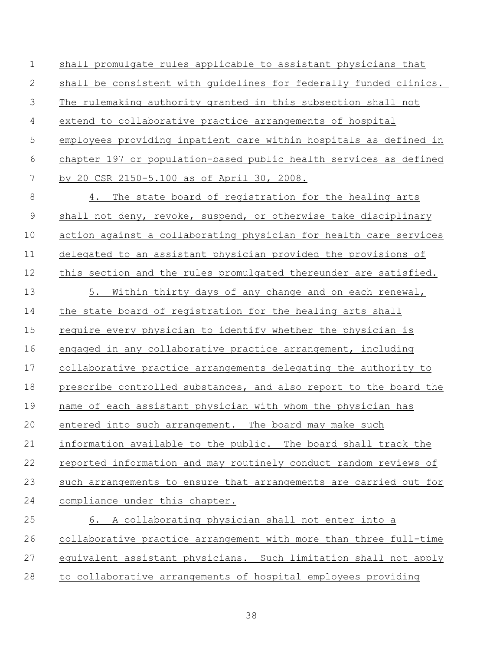shall promulgate rules applicable to assistant physicians that shall be consistent with guidelines for federally funded clinics. The rulemaking authority granted in this subsection shall not extend to collaborative practice arrangements of hospital employees providing inpatient care within hospitals as defined in chapter 197 or population-based public health services as defined by 20 CSR 2150-5.100 as of April 30, 2008.

 4. The state board of registration for the healing arts shall not deny, revoke, suspend, or otherwise take disciplinary action against a collaborating physician for health care services delegated to an assistant physician provided the provisions of 12 this section and the rules promulgated thereunder are satisfied. 5. Within thirty days of any change and on each renewal, the state board of registration for the healing arts shall require every physician to identify whether the physician is engaged in any collaborative practice arrangement, including collaborative practice arrangements delegating the authority to prescribe controlled substances, and also report to the board the name of each assistant physician with whom the physician has entered into such arrangement. The board may make such information available to the public. The board shall track the reported information and may routinely conduct random reviews of such arrangements to ensure that arrangements are carried out for compliance under this chapter. 6. A collaborating physician shall not enter into a

 collaborative practice arrangement with more than three full-time equivalent assistant physicians. Such limitation shall not apply to collaborative arrangements of hospital employees providing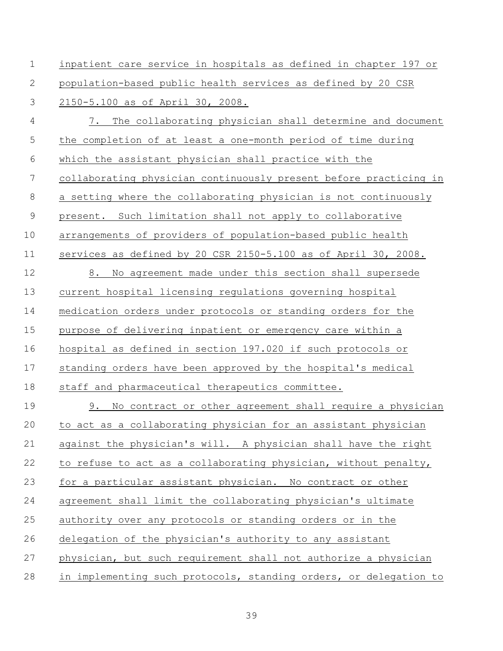| $\mathbf 1$ | inpatient care service in hospitals as defined in chapter 197 or  |
|-------------|-------------------------------------------------------------------|
| 2           | population-based public health services as defined by 20 CSR      |
| 3           | 2150-5.100 as of April 30, 2008.                                  |
| 4           | The collaborating physician shall determine and document<br>7.    |
| 5           | the completion of at least a one-month period of time during      |
| 6           | which the assistant physician shall practice with the             |
| 7           | collaborating physician continuously present before practicing in |
| $8\,$       | a setting where the collaborating physician is not continuously   |
| $\mathsf 9$ | present. Such limitation shall not apply to collaborative         |
| 10          | arrangements of providers of population-based public health       |
| 11          | services as defined by 20 CSR 2150-5.100 as of April 30, 2008.    |
| 12          | No agreement made under this section shall supersede<br>8.        |
| 13          | current hospital licensing regulations governing hospital         |
| 14          | medication orders under protocols or standing orders for the      |
| 15          | purpose of delivering inpatient or emergency care within a        |
| 16          | hospital as defined in section 197.020 if such protocols or       |
| 17          | standing orders have been approved by the hospital's medical      |
| 18          | staff and pharmaceutical therapeutics committee.                  |
| 19          | No contract or other agreement shall require a physician<br>9.    |
| 20          | to act as a collaborating physician for an assistant physician    |
| 21          | against the physician's will. A physician shall have the right    |
| 22          | to refuse to act as a collaborating physician, without penalty,   |
| 23          | for a particular assistant physician. No contract or other        |
| 24          | agreement shall limit the collaborating physician's ultimate      |
| 25          | authority over any protocols or standing orders or in the         |
| 26          | delegation of the physician's authority to any assistant          |
| 27          | physician, but such requirement shall not authorize a physician   |
| 28          | in implementing such protocols, standing orders, or delegation to |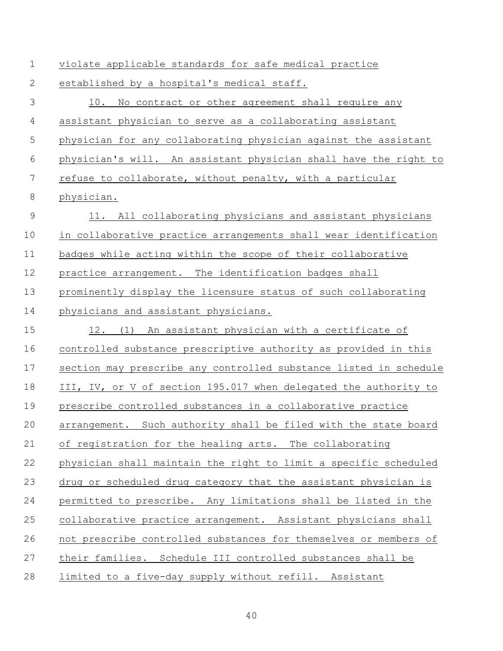| $\mathbf 1$ | violate applicable standards for safe medical practice            |  |
|-------------|-------------------------------------------------------------------|--|
| 2           | established by a hospital's medical staff.                        |  |
| 3           | 10.<br>No contract or other agreement shall require any           |  |
| 4           | assistant physician to serve as a collaborating assistant         |  |
| 5           | physician for any collaborating physician against the assistant   |  |
| 6           | physician's will. An assistant physician shall have the right to  |  |
| 7           | refuse to collaborate, without penalty, with a particular         |  |
| $8\,$       | physician.                                                        |  |
| 9           | All collaborating physicians and assistant physicians<br>11.      |  |
| 10          | in collaborative practice arrangements shall wear identification  |  |
| 11          | badges while acting within the scope of their collaborative       |  |
| 12          | practice arrangement. The identification badges shall             |  |
| 13          | prominently display the licensure status of such collaborating    |  |
| 14          | physicians and assistant physicians.                              |  |
| 15          | 12. (1) An assistant physician with a certificate of              |  |
| 16          | controlled substance prescriptive authority as provided in this   |  |
| 17          | section may prescribe any controlled substance listed in schedule |  |
| 18          | III, IV, or V of section 195.017 when delegated the authority to  |  |
| 19          | prescribe controlled substances in a collaborative practice       |  |
| 20          | arrangement. Such authority shall be filed with the state board   |  |
| 21          | of registration for the healing arts. The collaborating           |  |
| 22          | physician shall maintain the right to limit a specific scheduled  |  |
| 23          | drug or scheduled drug category that the assistant physician is   |  |
| 24          | permitted to prescribe. Any limitations shall be listed in the    |  |
| 25          | collaborative practice arrangement. Assistant physicians shall    |  |
| 26          | not prescribe controlled substances for themselves or members of  |  |
| 27          | their families. Schedule III controlled substances shall be       |  |
| 28          | limited to a five-day supply without refill. Assistant            |  |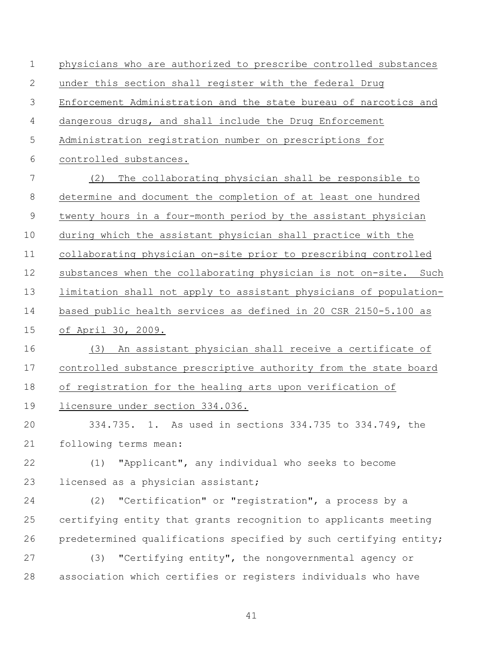physicians who are authorized to prescribe controlled substances under this section shall register with the federal Drug Enforcement Administration and the state bureau of narcotics and dangerous drugs, and shall include the Drug Enforcement Administration registration number on prescriptions for controlled substances. (2) The collaborating physician shall be responsible to determine and document the completion of at least one hundred twenty hours in a four-month period by the assistant physician during which the assistant physician shall practice with the collaborating physician on-site prior to prescribing controlled substances when the collaborating physician is not on-site. Such limitation shall not apply to assistant physicians of population- based public health services as defined in 20 CSR 2150-5.100 as of April 30, 2009. (3) An assistant physician shall receive a certificate of controlled substance prescriptive authority from the state board of registration for the healing arts upon verification of licensure under section 334.036. 334.735. 1. As used in sections 334.735 to 334.749, the following terms mean: (1) "Applicant", any individual who seeks to become 23 licensed as a physician assistant; (2) "Certification" or "registration", a process by a certifying entity that grants recognition to applicants meeting predetermined qualifications specified by such certifying entity; (3) "Certifying entity", the nongovernmental agency or association which certifies or registers individuals who have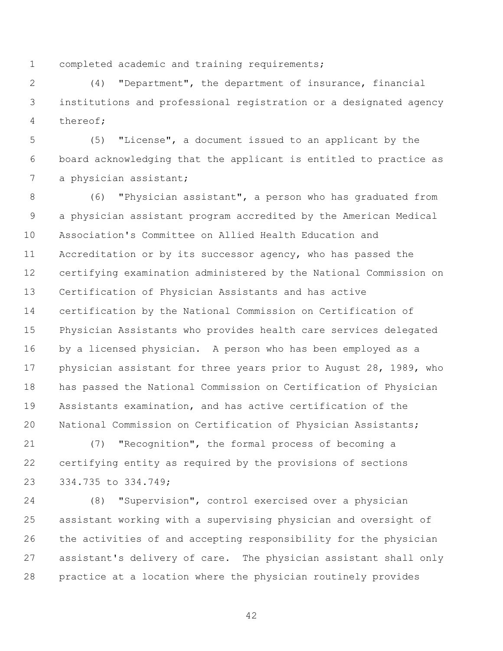completed academic and training requirements;

 (4) "Department", the department of insurance, financial institutions and professional registration or a designated agency thereof;

 (5) "License", a document issued to an applicant by the board acknowledging that the applicant is entitled to practice as 7 a physician assistant;

 (6) "Physician assistant", a person who has graduated from a physician assistant program accredited by the American Medical Association's Committee on Allied Health Education and Accreditation or by its successor agency, who has passed the certifying examination administered by the National Commission on Certification of Physician Assistants and has active certification by the National Commission on Certification of Physician Assistants who provides health care services delegated by a licensed physician. A person who has been employed as a physician assistant for three years prior to August 28, 1989, who has passed the National Commission on Certification of Physician Assistants examination, and has active certification of the National Commission on Certification of Physician Assistants;

 (7) "Recognition", the formal process of becoming a certifying entity as required by the provisions of sections 334.735 to 334.749;

 (8) "Supervision", control exercised over a physician assistant working with a supervising physician and oversight of the activities of and accepting responsibility for the physician assistant's delivery of care. The physician assistant shall only practice at a location where the physician routinely provides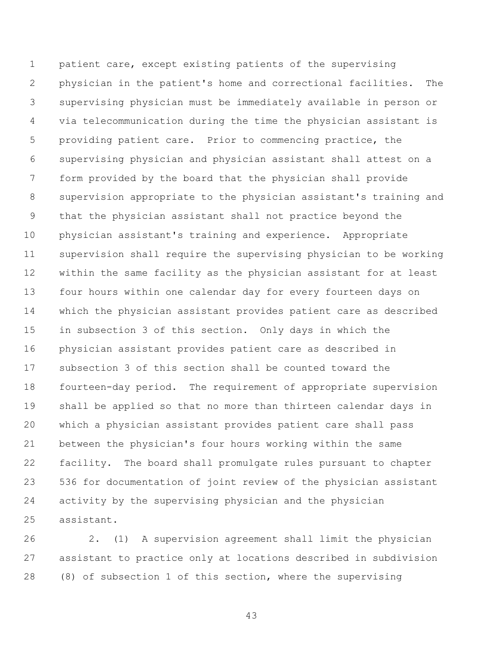patient care, except existing patients of the supervising physician in the patient's home and correctional facilities. The supervising physician must be immediately available in person or via telecommunication during the time the physician assistant is providing patient care. Prior to commencing practice, the supervising physician and physician assistant shall attest on a form provided by the board that the physician shall provide supervision appropriate to the physician assistant's training and that the physician assistant shall not practice beyond the physician assistant's training and experience. Appropriate supervision shall require the supervising physician to be working within the same facility as the physician assistant for at least four hours within one calendar day for every fourteen days on which the physician assistant provides patient care as described in subsection 3 of this section. Only days in which the physician assistant provides patient care as described in subsection 3 of this section shall be counted toward the fourteen-day period. The requirement of appropriate supervision shall be applied so that no more than thirteen calendar days in which a physician assistant provides patient care shall pass between the physician's four hours working within the same facility. The board shall promulgate rules pursuant to chapter 536 for documentation of joint review of the physician assistant activity by the supervising physician and the physician assistant.

 2. (1) A supervision agreement shall limit the physician assistant to practice only at locations described in subdivision (8) of subsection 1 of this section, where the supervising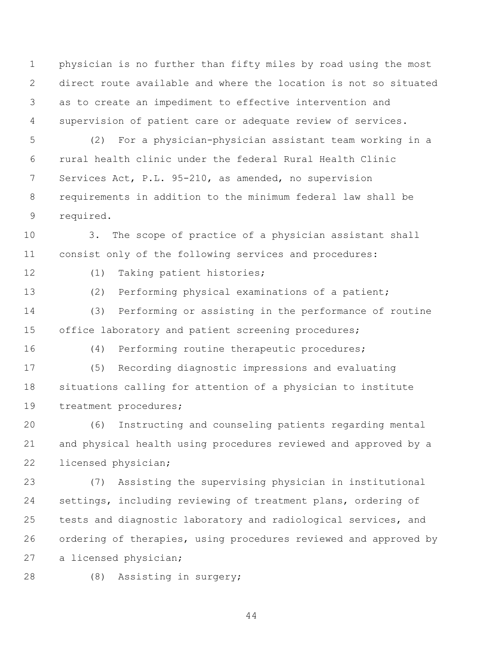physician is no further than fifty miles by road using the most direct route available and where the location is not so situated as to create an impediment to effective intervention and supervision of patient care or adequate review of services.

 (2) For a physician-physician assistant team working in a rural health clinic under the federal Rural Health Clinic Services Act, P.L. 95-210, as amended, no supervision requirements in addition to the minimum federal law shall be required.

 3. The scope of practice of a physician assistant shall consist only of the following services and procedures:

(1) Taking patient histories;

 (2) Performing physical examinations of a patient; (3) Performing or assisting in the performance of routine

15 office laboratory and patient screening procedures;

(4) Performing routine therapeutic procedures;

 (5) Recording diagnostic impressions and evaluating situations calling for attention of a physician to institute treatment procedures;

 (6) Instructing and counseling patients regarding mental and physical health using procedures reviewed and approved by a licensed physician;

 (7) Assisting the supervising physician in institutional settings, including reviewing of treatment plans, ordering of tests and diagnostic laboratory and radiological services, and ordering of therapies, using procedures reviewed and approved by a licensed physician;

(8) Assisting in surgery;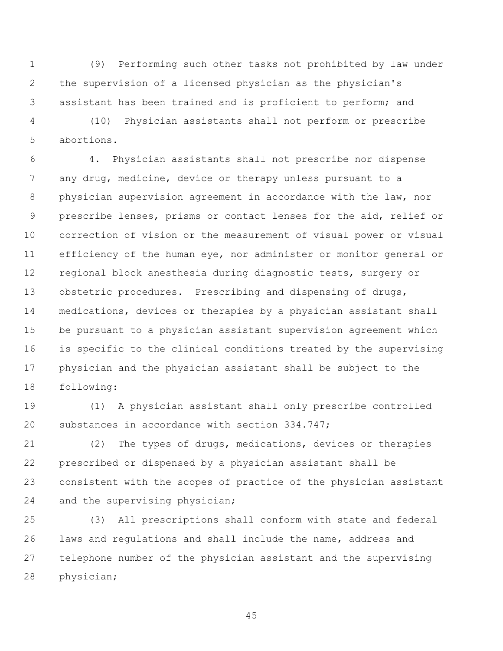(9) Performing such other tasks not prohibited by law under the supervision of a licensed physician as the physician's assistant has been trained and is proficient to perform; and

 (10) Physician assistants shall not perform or prescribe abortions.

 4. Physician assistants shall not prescribe nor dispense any drug, medicine, device or therapy unless pursuant to a physician supervision agreement in accordance with the law, nor prescribe lenses, prisms or contact lenses for the aid, relief or correction of vision or the measurement of visual power or visual efficiency of the human eye, nor administer or monitor general or regional block anesthesia during diagnostic tests, surgery or 13 obstetric procedures. Prescribing and dispensing of drugs, medications, devices or therapies by a physician assistant shall be pursuant to a physician assistant supervision agreement which is specific to the clinical conditions treated by the supervising physician and the physician assistant shall be subject to the following:

 (1) A physician assistant shall only prescribe controlled substances in accordance with section 334.747;

 (2) The types of drugs, medications, devices or therapies prescribed or dispensed by a physician assistant shall be consistent with the scopes of practice of the physician assistant and the supervising physician;

 (3) All prescriptions shall conform with state and federal laws and regulations and shall include the name, address and telephone number of the physician assistant and the supervising physician;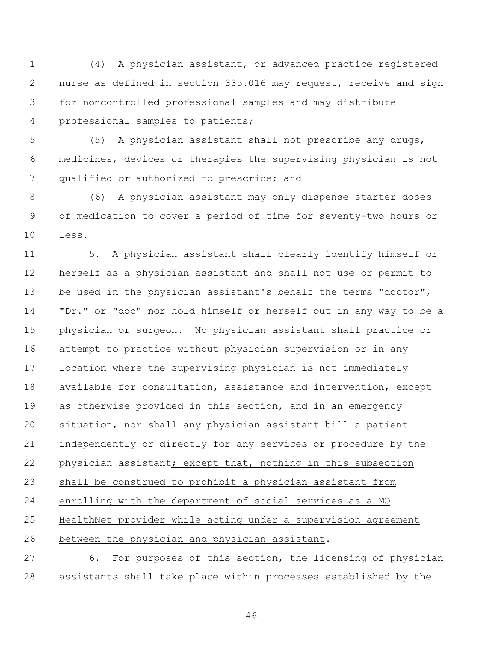(4) A physician assistant, or advanced practice registered nurse as defined in section 335.016 may request, receive and sign for noncontrolled professional samples and may distribute professional samples to patients;

 (5) A physician assistant shall not prescribe any drugs, medicines, devices or therapies the supervising physician is not qualified or authorized to prescribe; and

 (6) A physician assistant may only dispense starter doses of medication to cover a period of time for seventy-two hours or less.

 5. A physician assistant shall clearly identify himself or herself as a physician assistant and shall not use or permit to be used in the physician assistant's behalf the terms "doctor", "Dr." or "doc" nor hold himself or herself out in any way to be a physician or surgeon. No physician assistant shall practice or attempt to practice without physician supervision or in any location where the supervising physician is not immediately available for consultation, assistance and intervention, except as otherwise provided in this section, and in an emergency situation, nor shall any physician assistant bill a patient independently or directly for any services or procedure by the physician assistant; except that, nothing in this subsection shall be construed to prohibit a physician assistant from enrolling with the department of social services as a MO HealthNet provider while acting under a supervision agreement between the physician and physician assistant.

 6. For purposes of this section, the licensing of physician assistants shall take place within processes established by the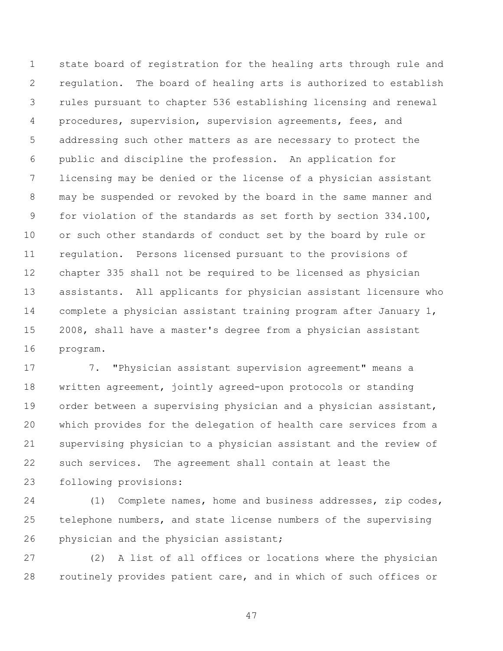state board of registration for the healing arts through rule and regulation. The board of healing arts is authorized to establish rules pursuant to chapter 536 establishing licensing and renewal procedures, supervision, supervision agreements, fees, and addressing such other matters as are necessary to protect the public and discipline the profession. An application for licensing may be denied or the license of a physician assistant may be suspended or revoked by the board in the same manner and for violation of the standards as set forth by section 334.100, or such other standards of conduct set by the board by rule or regulation. Persons licensed pursuant to the provisions of chapter 335 shall not be required to be licensed as physician assistants. All applicants for physician assistant licensure who complete a physician assistant training program after January 1, 2008, shall have a master's degree from a physician assistant program.

 7. "Physician assistant supervision agreement" means a written agreement, jointly agreed-upon protocols or standing order between a supervising physician and a physician assistant, which provides for the delegation of health care services from a supervising physician to a physician assistant and the review of such services. The agreement shall contain at least the following provisions:

 (1) Complete names, home and business addresses, zip codes, telephone numbers, and state license numbers of the supervising 26 physician and the physician assistant;

 (2) A list of all offices or locations where the physician routinely provides patient care, and in which of such offices or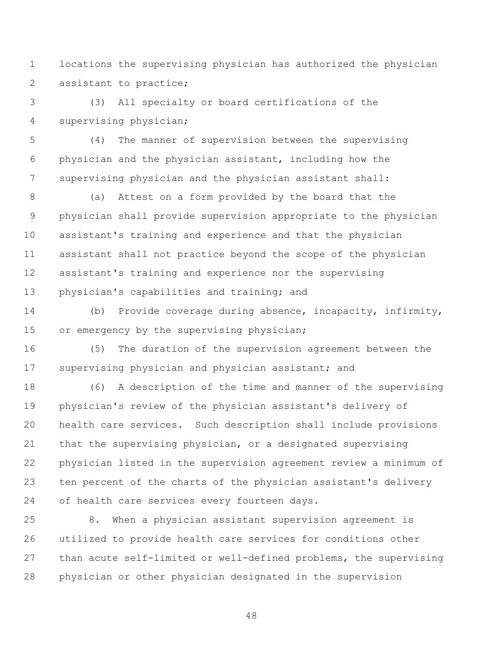locations the supervising physician has authorized the physician 2 assistant to practice;

 (3) All specialty or board certifications of the supervising physician;

 (4) The manner of supervision between the supervising physician and the physician assistant, including how the supervising physician and the physician assistant shall:

 (a) Attest on a form provided by the board that the physician shall provide supervision appropriate to the physician assistant's training and experience and that the physician assistant shall not practice beyond the scope of the physician assistant's training and experience nor the supervising physician's capabilities and training; and

 (b) Provide coverage during absence, incapacity, infirmity, 15 or emergency by the supervising physician;

 (5) The duration of the supervision agreement between the supervising physician and physician assistant; and

 (6) A description of the time and manner of the supervising physician's review of the physician assistant's delivery of health care services. Such description shall include provisions that the supervising physician, or a designated supervising physician listed in the supervision agreement review a minimum of ten percent of the charts of the physician assistant's delivery of health care services every fourteen days.

 8. When a physician assistant supervision agreement is utilized to provide health care services for conditions other than acute self-limited or well-defined problems, the supervising physician or other physician designated in the supervision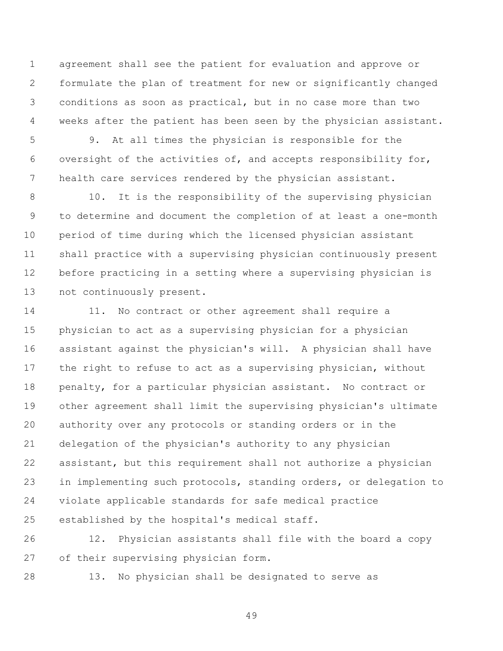agreement shall see the patient for evaluation and approve or formulate the plan of treatment for new or significantly changed conditions as soon as practical, but in no case more than two 4 weeks after the patient has been seen by the physician assistant.

 9. At all times the physician is responsible for the oversight of the activities of, and accepts responsibility for, health care services rendered by the physician assistant.

8 10. It is the responsibility of the supervising physician to determine and document the completion of at least a one-month period of time during which the licensed physician assistant shall practice with a supervising physician continuously present before practicing in a setting where a supervising physician is not continuously present.

14 11. No contract or other agreement shall require a physician to act as a supervising physician for a physician assistant against the physician's will. A physician shall have the right to refuse to act as a supervising physician, without penalty, for a particular physician assistant. No contract or other agreement shall limit the supervising physician's ultimate authority over any protocols or standing orders or in the delegation of the physician's authority to any physician assistant, but this requirement shall not authorize a physician in implementing such protocols, standing orders, or delegation to violate applicable standards for safe medical practice established by the hospital's medical staff.

 12. Physician assistants shall file with the board a copy of their supervising physician form.

13. No physician shall be designated to serve as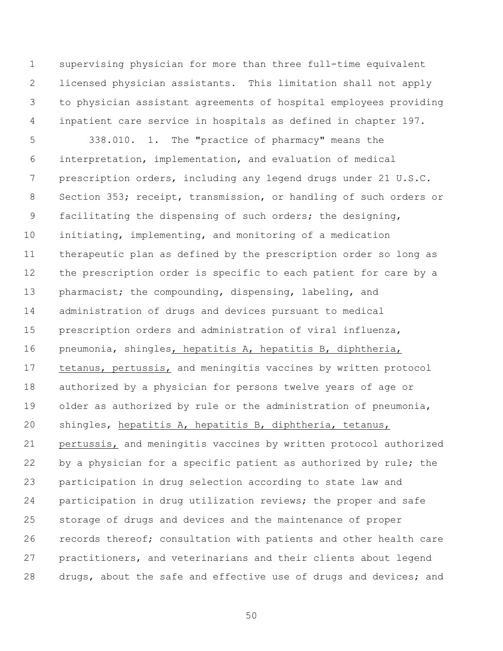supervising physician for more than three full-time equivalent licensed physician assistants. This limitation shall not apply to physician assistant agreements of hospital employees providing inpatient care service in hospitals as defined in chapter 197.

 338.010. 1. The "practice of pharmacy" means the interpretation, implementation, and evaluation of medical prescription orders, including any legend drugs under 21 U.S.C. Section 353; receipt, transmission, or handling of such orders or facilitating the dispensing of such orders; the designing, initiating, implementing, and monitoring of a medication therapeutic plan as defined by the prescription order so long as the prescription order is specific to each patient for care by a 13 pharmacist; the compounding, dispensing, labeling, and administration of drugs and devices pursuant to medical prescription orders and administration of viral influenza, pneumonia, shingles, hepatitis A, hepatitis B, diphtheria, tetanus, pertussis, and meningitis vaccines by written protocol authorized by a physician for persons twelve years of age or 19 older as authorized by rule or the administration of pneumonia, shingles, hepatitis A, hepatitis B, diphtheria, tetanus, pertussis, and meningitis vaccines by written protocol authorized 22 by a physician for a specific patient as authorized by rule; the participation in drug selection according to state law and participation in drug utilization reviews; the proper and safe storage of drugs and devices and the maintenance of proper records thereof; consultation with patients and other health care practitioners, and veterinarians and their clients about legend 28 drugs, about the safe and effective use of drugs and devices; and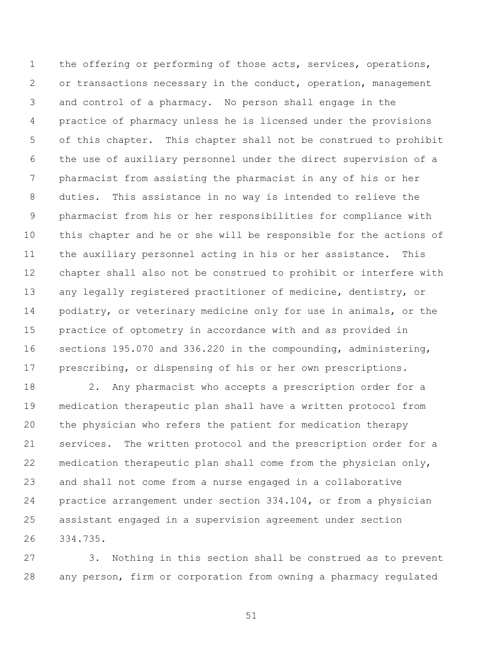the offering or performing of those acts, services, operations, or transactions necessary in the conduct, operation, management and control of a pharmacy. No person shall engage in the practice of pharmacy unless he is licensed under the provisions of this chapter. This chapter shall not be construed to prohibit the use of auxiliary personnel under the direct supervision of a pharmacist from assisting the pharmacist in any of his or her duties. This assistance in no way is intended to relieve the pharmacist from his or her responsibilities for compliance with this chapter and he or she will be responsible for the actions of the auxiliary personnel acting in his or her assistance. This chapter shall also not be construed to prohibit or interfere with any legally registered practitioner of medicine, dentistry, or podiatry, or veterinary medicine only for use in animals, or the practice of optometry in accordance with and as provided in sections 195.070 and 336.220 in the compounding, administering, prescribing, or dispensing of his or her own prescriptions.

 2. Any pharmacist who accepts a prescription order for a medication therapeutic plan shall have a written protocol from the physician who refers the patient for medication therapy services. The written protocol and the prescription order for a medication therapeutic plan shall come from the physician only, and shall not come from a nurse engaged in a collaborative practice arrangement under section 334.104, or from a physician assistant engaged in a supervision agreement under section 334.735.

 3. Nothing in this section shall be construed as to prevent any person, firm or corporation from owning a pharmacy regulated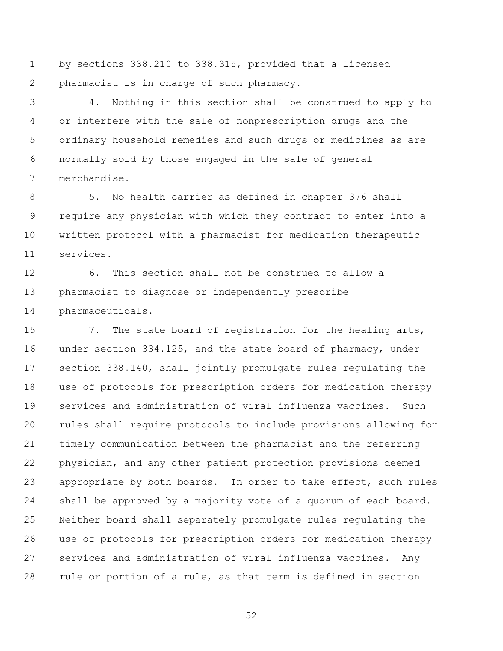by sections 338.210 to 338.315, provided that a licensed pharmacist is in charge of such pharmacy.

 4. Nothing in this section shall be construed to apply to or interfere with the sale of nonprescription drugs and the ordinary household remedies and such drugs or medicines as are normally sold by those engaged in the sale of general merchandise.

 5. No health carrier as defined in chapter 376 shall require any physician with which they contract to enter into a written protocol with a pharmacist for medication therapeutic services.

 6. This section shall not be construed to allow a pharmacist to diagnose or independently prescribe pharmaceuticals.

 7. The state board of registration for the healing arts, under section 334.125, and the state board of pharmacy, under section 338.140, shall jointly promulgate rules regulating the use of protocols for prescription orders for medication therapy services and administration of viral influenza vaccines. Such rules shall require protocols to include provisions allowing for timely communication between the pharmacist and the referring physician, and any other patient protection provisions deemed appropriate by both boards. In order to take effect, such rules shall be approved by a majority vote of a quorum of each board. Neither board shall separately promulgate rules regulating the use of protocols for prescription orders for medication therapy services and administration of viral influenza vaccines. Any rule or portion of a rule, as that term is defined in section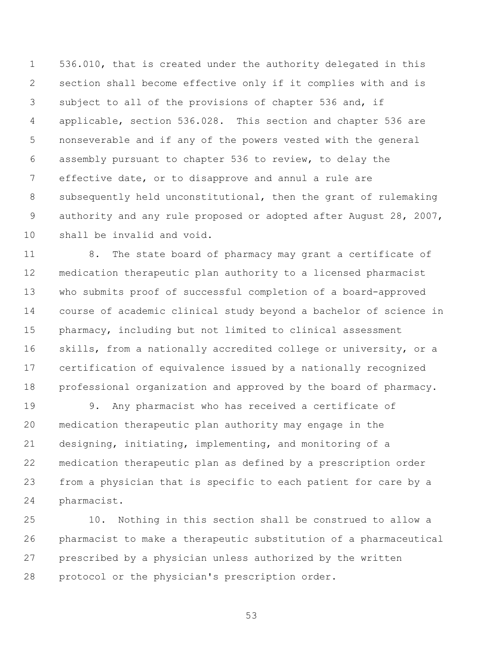536.010, that is created under the authority delegated in this section shall become effective only if it complies with and is subject to all of the provisions of chapter 536 and, if applicable, section 536.028. This section and chapter 536 are nonseverable and if any of the powers vested with the general assembly pursuant to chapter 536 to review, to delay the effective date, or to disapprove and annul a rule are subsequently held unconstitutional, then the grant of rulemaking authority and any rule proposed or adopted after August 28, 2007, shall be invalid and void.

 8. The state board of pharmacy may grant a certificate of medication therapeutic plan authority to a licensed pharmacist who submits proof of successful completion of a board-approved course of academic clinical study beyond a bachelor of science in pharmacy, including but not limited to clinical assessment skills, from a nationally accredited college or university, or a certification of equivalence issued by a nationally recognized professional organization and approved by the board of pharmacy.

 9. Any pharmacist who has received a certificate of medication therapeutic plan authority may engage in the designing, initiating, implementing, and monitoring of a medication therapeutic plan as defined by a prescription order from a physician that is specific to each patient for care by a pharmacist.

 10. Nothing in this section shall be construed to allow a pharmacist to make a therapeutic substitution of a pharmaceutical prescribed by a physician unless authorized by the written protocol or the physician's prescription order.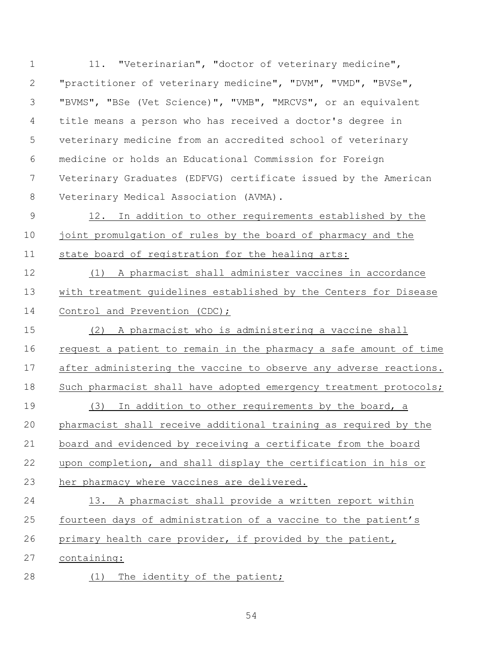1 11. "Veterinarian", "doctor of veterinary medicine", "practitioner of veterinary medicine", "DVM", "VMD", "BVSe", "BVMS", "BSe (Vet Science)", "VMB", "MRCVS", or an equivalent title means a person who has received a doctor's degree in veterinary medicine from an accredited school of veterinary medicine or holds an Educational Commission for Foreign Veterinary Graduates (EDFVG) certificate issued by the American Veterinary Medical Association (AVMA).

 12. In addition to other requirements established by the joint promulgation of rules by the board of pharmacy and the state board of registration for the healing arts:

 (1) A pharmacist shall administer vaccines in accordance with treatment guidelines established by the Centers for Disease 14 Control and Prevention (CDC);

 (2) A pharmacist who is administering a vaccine shall request a patient to remain in the pharmacy a safe amount of time after administering the vaccine to observe any adverse reactions. 18 Such pharmacist shall have adopted emergency treatment protocols; (3) In addition to other requirements by the board, a pharmacist shall receive additional training as required by the board and evidenced by receiving a certificate from the board upon completion, and shall display the certification in his or her pharmacy where vaccines are delivered.

 13. A pharmacist shall provide a written report within fourteen days of administration of a vaccine to the patient's primary health care provider, if provided by the patient,

containing:

28 (1) The identity of the patient;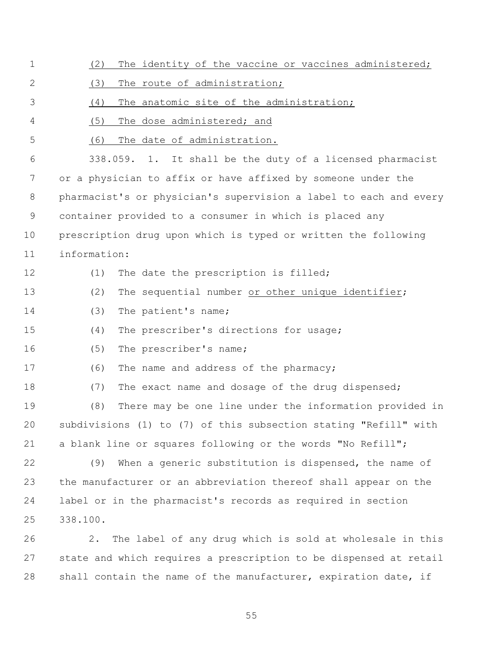| 1  | The identity of the vaccine or vaccines administered;<br>(2)      |  |  |  |
|----|-------------------------------------------------------------------|--|--|--|
| 2  | (3)<br>The route of administration;                               |  |  |  |
| 3  | The anatomic site of the administration;<br>(4)                   |  |  |  |
| 4  | (5)<br>The dose administered; and                                 |  |  |  |
| 5  | The date of administration.<br>(6)                                |  |  |  |
| 6  | 338.059. 1. It shall be the duty of a licensed pharmacist         |  |  |  |
| 7  | or a physician to affix or have affixed by someone under the      |  |  |  |
| 8  | pharmacist's or physician's supervision a label to each and every |  |  |  |
| 9  | container provided to a consumer in which is placed any           |  |  |  |
| 10 | prescription drug upon which is typed or written the following    |  |  |  |
| 11 | information:                                                      |  |  |  |
| 12 | The date the prescription is filled;<br>(1)                       |  |  |  |
| 13 | (2)<br>The sequential number or other unique identifier;          |  |  |  |
| 14 | (3)<br>The patient's name;                                        |  |  |  |
| 15 | (4)<br>The prescriber's directions for usage;                     |  |  |  |
| 16 | (5)<br>The prescriber's name;                                     |  |  |  |
| 17 | (6)<br>The name and address of the pharmacy;                      |  |  |  |
| 18 | (7)<br>The exact name and dosage of the drug dispensed;           |  |  |  |
| 19 | (8)<br>There may be one line under the information provided in    |  |  |  |
| 20 | subdivisions (1) to (7) of this subsection stating "Refill" with  |  |  |  |
| 21 | a blank line or squares following or the words "No Refill";       |  |  |  |
| 22 | When a generic substitution is dispensed, the name of<br>(9)      |  |  |  |
| 23 | the manufacturer or an abbreviation thereof shall appear on the   |  |  |  |
| 24 | label or in the pharmacist's records as required in section       |  |  |  |
| 25 | 338.100.                                                          |  |  |  |
| 26 | The label of any drug which is sold at wholesale in this<br>2.    |  |  |  |
| 27 | state and which requires a prescription to be dispensed at retail |  |  |  |

shall contain the name of the manufacturer, expiration date, if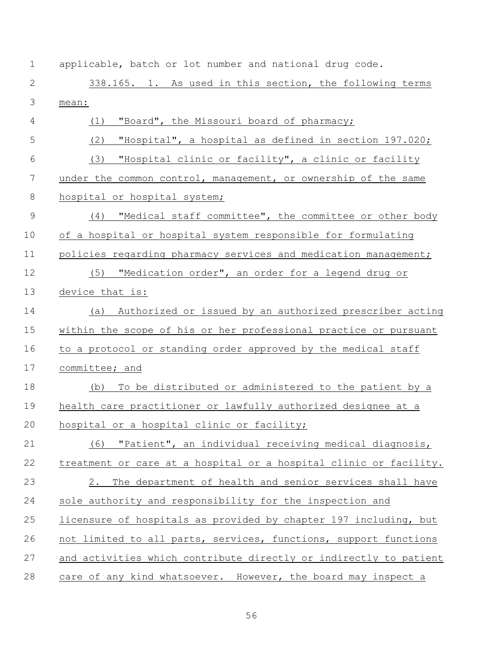| $\mathbf 1$    | applicable, batch or lot number and national drug code.           |
|----------------|-------------------------------------------------------------------|
| $\mathbf 2$    | 338.165. 1. As used in this section, the following terms          |
| $\mathfrak{Z}$ | mean:                                                             |
| $\overline{4}$ | "Board", the Missouri board of pharmacy;<br>(1)                   |
| 5              | (2)<br>"Hospital", a hospital as defined in section 197.020;      |
| 6              | "Hospital clinic or facility", a clinic or facility<br>(3)        |
| 7              | under the common control, management, or ownership of the same    |
| 8              | hospital or hospital system;                                      |
| $\mathcal{G}$  | (4) "Medical staff committee", the committee or other body        |
| 10             | of a hospital or hospital system responsible for formulating      |
| 11             | policies regarding pharmacy services and medication management;   |
| 12             | (5) "Medication order", an order for a legend drug or             |
| 13             | device that is:                                                   |
| 14             | (a) Authorized or issued by an authorized prescriber acting       |
| 15             | within the scope of his or her professional practice or pursuant  |
| 16             | to a protocol or standing order approved by the medical staff     |
| 17             | committee; and                                                    |
| 18             | To be distributed or administered to the patient by a<br>(b)      |
| 19             | health care practitioner or lawfully authorized designee at a     |
| 20             | hospital or a hospital clinic or facility;                        |
| 21             | (6) "Patient", an individual receiving medical diagnosis,         |
| 22             | treatment or care at a hospital or a hospital clinic or facility. |
| 23             | 2.<br>The department of health and senior services shall have     |
| 24             | sole authority and responsibility for the inspection and          |
| 25             | licensure of hospitals as provided by chapter 197 including, but  |
| 26             | not limited to all parts, services, functions, support functions  |
| 27             | and activities which contribute directly or indirectly to patient |
| 28             | care of any kind whatsoever. However, the board may inspect a     |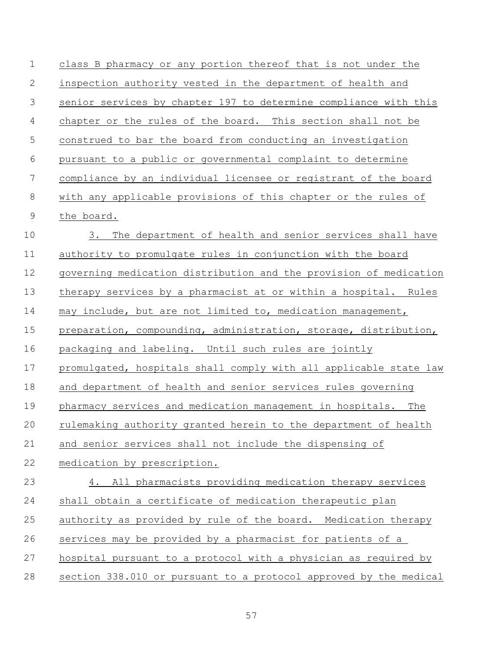| $\mathbf 1$ | class B pharmacy or any portion thereof that is not under the     |  |
|-------------|-------------------------------------------------------------------|--|
| 2           | inspection authority vested in the department of health and       |  |
| 3           | senior services by chapter 197 to determine compliance with this  |  |
| 4           | chapter or the rules of the board. This section shall not be      |  |
| 5           | construed to bar the board from conducting an investigation       |  |
| 6           | pursuant to a public or governmental complaint to determine       |  |
| 7           | compliance by an individual licensee or registrant of the board   |  |
| 8           | with any applicable provisions of this chapter or the rules of    |  |
| $\mathsf 9$ | the board.                                                        |  |
| 10          | 3.<br>The department of health and senior services shall have     |  |
| 11          | authority to promulgate rules in conjunction with the board       |  |
| 12          | governing medication distribution and the provision of medication |  |
| 13          | therapy services by a pharmacist at or within a hospital. Rules   |  |
| 14          | may include, but are not limited to, medication management,       |  |
| 15          | preparation, compounding, administration, storage, distribution,  |  |
| 16          | packaging and labeling. Until such rules are jointly              |  |
| 17          | promulgated, hospitals shall comply with all applicable state law |  |
| 18          | and department of health and senior services rules governing      |  |
| 19          | pharmacy services and medication management in hospitals. The     |  |
| 20          | rulemaking authority granted herein to the department of health   |  |
| 21          | and senior services shall not include the dispensing of           |  |
| 22          | medication by prescription.                                       |  |
| 23          | 4. All pharmacists providing medication therapy services          |  |
| 24          | shall obtain a certificate of medication therapeutic plan         |  |
| 25          | authority as provided by rule of the board. Medication therapy    |  |
| 26          | services may be provided by a pharmacist for patients of a        |  |
| 27          | hospital pursuant to a protocol with a physician as required by   |  |
| 28          | section 338.010 or pursuant to a protocol approved by the medical |  |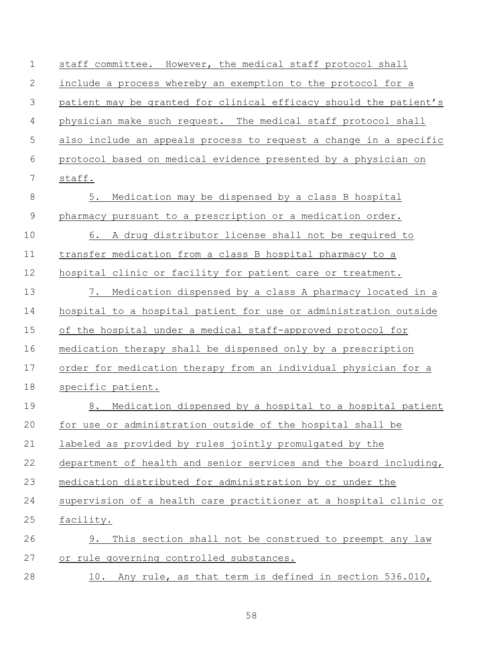| $\mathbf 1$ | staff committee. However, the medical staff protocol shall        |
|-------------|-------------------------------------------------------------------|
| 2           | include a process whereby an exemption to the protocol for a      |
| 3           | patient may be granted for clinical efficacy should the patient's |
| 4           | physician make such request. The medical staff protocol shall     |
| 5           | also include an appeals process to request a change in a specific |
| 6           | protocol based on medical evidence presented by a physician on    |
| 7           | staff.                                                            |
| $\,8\,$     | 5.<br>Medication may be dispensed by a class B hospital           |
| $\mathsf 9$ | pharmacy pursuant to a prescription or a medication order.        |
| 10          | 6. A drug distributor license shall not be required to            |
| 11          | transfer medication from a class B hospital pharmacy to a         |
| 12          | hospital clinic or facility for patient care or treatment.        |
| 13          | Medication dispensed by a class A pharmacy located in a<br>7.     |
| 14          | hospital to a hospital patient for use or administration outside  |
| 15          | of the hospital under a medical staff-approved protocol for       |
| 16          | medication therapy shall be dispensed only by a prescription      |
| 17          | order for medication therapy from an individual physician for a   |
| 18          | specific patient.                                                 |
| 19          | Medication dispensed by a hospital to a hospital patient<br>8.    |
| 20          | for use or administration outside of the hospital shall be        |
| 21          | labeled as provided by rules jointly promulgated by the           |
| 22          | department of health and senior services and the board including, |
| 23          | medication distributed for administration by or under the         |
| 24          | supervision of a health care practitioner at a hospital clinic or |
| 25          | facility.                                                         |
| 26          | This section shall not be construed to preempt any law<br>9.      |
| 27          | or rule governing controlled substances.                          |
| 28          | 10. Any rule, as that term is defined in section 536.010,         |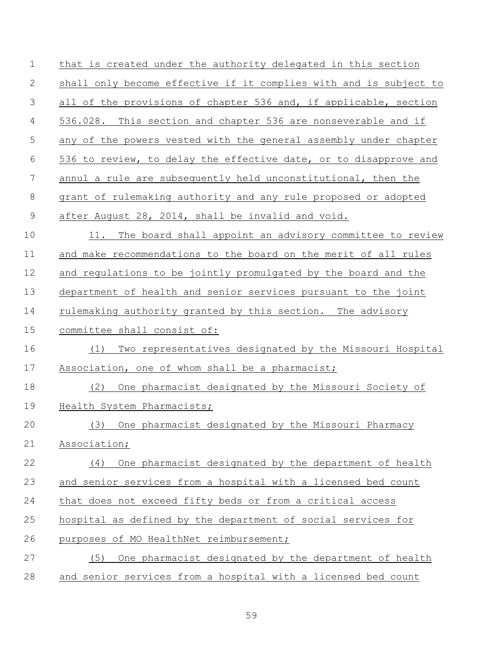| $\mathbf 1$    | that is created under the authority delegated in this section     |
|----------------|-------------------------------------------------------------------|
| 2              | shall only become effective if it complies with and is subject to |
| 3              | all of the provisions of chapter 536 and, if applicable, section  |
| $\overline{4}$ | 536.028. This section and chapter 536 are nonseverable and if     |
| 5              | any of the powers vested with the general assembly under chapter  |
| 6              | 536 to review, to delay the effective date, or to disapprove and  |
| 7              | annul a rule are subsequently held unconstitutional, then the     |
| $8\,$          | grant of rulemaking authority and any rule proposed or adopted    |
| $\mathsf 9$    | after August 28, 2014, shall be invalid and void.                 |
| 10             | 11. The board shall appoint an advisory committee to review       |
| 11             | and make recommendations to the board on the merit of all rules   |
| 12             | and regulations to be jointly promulgated by the board and the    |
| 13             | department of health and senior services pursuant to the joint    |
| 14             | rulemaking authority granted by this section. The advisory        |
| 15             | committee shall consist of:                                       |
| 16             | Two representatives designated by the Missouri Hospital<br>(1)    |
| 17             | Association, one of whom shall be a pharmacist;                   |
| 18             | One pharmacist designated by the Missouri Society of<br>(2)       |
| 19             | Health System Pharmacists;                                        |
| 20             | (3) One pharmacist designated by the Missouri Pharmacy            |
| 21             | Association;                                                      |
| 22             | One pharmacist designated by the department of health<br>(4)      |
| 23             | and senior services from a hospital with a licensed bed count     |
| 24             | that does not exceed fifty beds or from a critical access         |
| 25             | hospital as defined by the department of social services for      |
| 26             | purposes of MO HealthNet reimbursement;                           |
| 27             | One pharmacist designated by the department of health<br>(5)      |
| 28             | and senior services from a hospital with a licensed bed count     |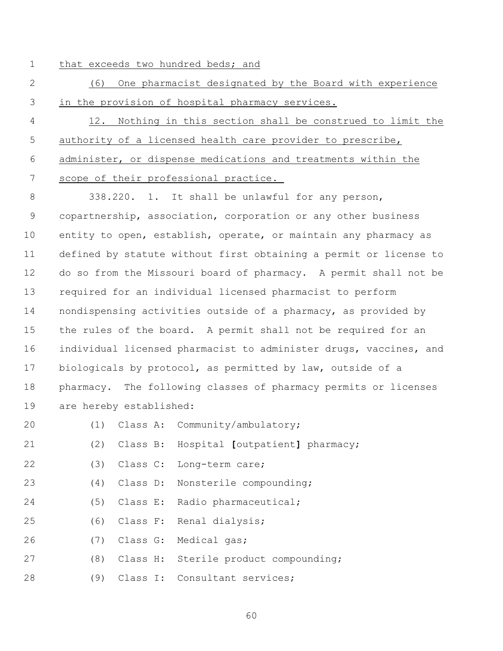- 
- 1 that exceeds two hundred beds; and
- (6) One pharmacist designated by the Board with experience in the provision of hospital pharmacy services.
- 12. Nothing in this section shall be construed to limit the authority of a licensed health care provider to prescribe, administer, or dispense medications and treatments within the scope of their professional practice.

 338.220. 1. It shall be unlawful for any person, copartnership, association, corporation or any other business entity to open, establish, operate, or maintain any pharmacy as defined by statute without first obtaining a permit or license to do so from the Missouri board of pharmacy. A permit shall not be required for an individual licensed pharmacist to perform nondispensing activities outside of a pharmacy, as provided by the rules of the board. A permit shall not be required for an individual licensed pharmacist to administer drugs, vaccines, and biologicals by protocol, as permitted by law, outside of a pharmacy. The following classes of pharmacy permits or licenses are hereby established:

- (1) Class A: Community/ambulatory;
- (2) Class B: Hospital **[**outpatient**]** pharmacy;
- (3) Class C: Long-term care;
- (4) Class D: Nonsterile compounding;
- (5) Class E: Radio pharmaceutical;
- (6) Class F: Renal dialysis;
- (7) Class G: Medical gas;
- (8) Class H: Sterile product compounding;
- (9) Class I: Consultant services;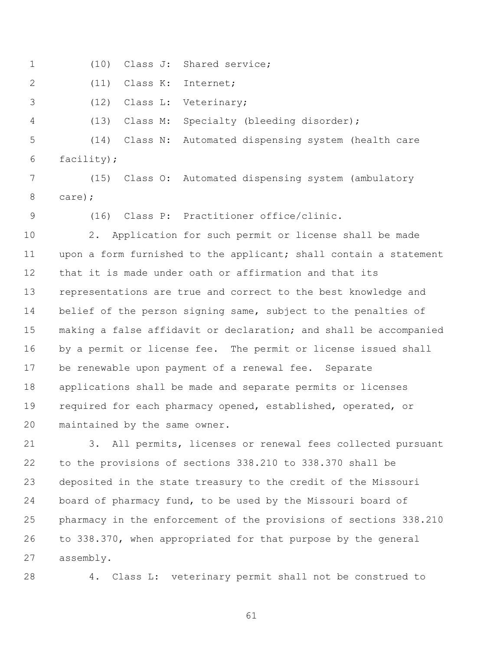| $\mathbf 1$ | (10)<br>Class J:<br>Shared service;                               |  |  |  |
|-------------|-------------------------------------------------------------------|--|--|--|
| 2           | Class K:<br>(11)<br>Internet;                                     |  |  |  |
| 3           | Class L:<br>(12)<br>Veterinary;                                   |  |  |  |
| 4           | (13)<br>Specialty (bleeding disorder);<br>Class M:                |  |  |  |
| 5           | (14)<br>Class N:<br>Automated dispensing system (health care      |  |  |  |
| 6           | facility);                                                        |  |  |  |
| 7           | (15)<br>Class O: Automated dispensing system (ambulatory          |  |  |  |
| 8           | care);                                                            |  |  |  |
| 9           | (16) Class P: Practitioner office/clinic.                         |  |  |  |
| 10          | Application for such permit or license shall be made<br>2.        |  |  |  |
| 11          | upon a form furnished to the applicant; shall contain a statement |  |  |  |
| 12          | that it is made under oath or affirmation and that its            |  |  |  |
| 13          | representations are true and correct to the best knowledge and    |  |  |  |
| 14          | belief of the person signing same, subject to the penalties of    |  |  |  |
| 15          | making a false affidavit or declaration; and shall be accompanied |  |  |  |
| 16          | by a permit or license fee. The permit or license issued shall    |  |  |  |
| 17          | be renewable upon payment of a renewal fee. Separate              |  |  |  |
| 18          | applications shall be made and separate permits or licenses       |  |  |  |
| 19          | required for each pharmacy opened, established, operated, or      |  |  |  |
| 20          | maintained by the same owner.                                     |  |  |  |
| 21          | All permits, licenses or renewal fees collected pursuant<br>3.    |  |  |  |

 to the provisions of sections 338.210 to 338.370 shall be deposited in the state treasury to the credit of the Missouri board of pharmacy fund, to be used by the Missouri board of pharmacy in the enforcement of the provisions of sections 338.210 to 338.370, when appropriated for that purpose by the general assembly.

4. Class L: veterinary permit shall not be construed to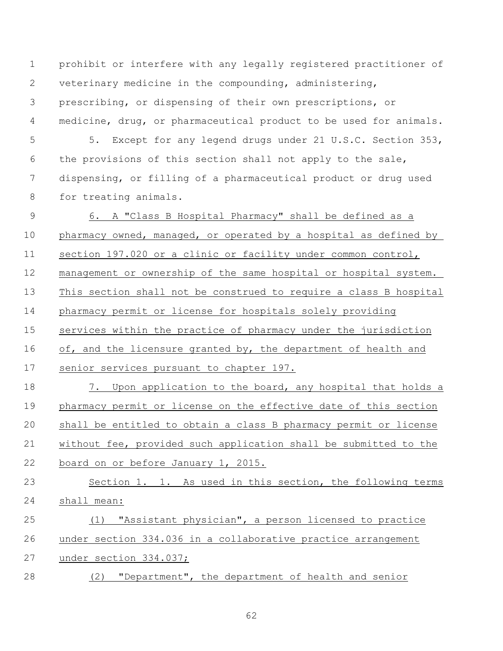prohibit or interfere with any legally registered practitioner of veterinary medicine in the compounding, administering, prescribing, or dispensing of their own prescriptions, or medicine, drug, or pharmaceutical product to be used for animals. 5 5. Except for any legend drugs under 21 U.S.C. Section 353, the provisions of this section shall not apply to the sale,

 dispensing, or filling of a pharmaceutical product or drug used for treating animals.

 6. A "Class B Hospital Pharmacy" shall be defined as a pharmacy owned, managed, or operated by a hospital as defined by section 197.020 or a clinic or facility under common control, management or ownership of the same hospital or hospital system. This section shall not be construed to require a class B hospital pharmacy permit or license for hospitals solely providing services within the practice of pharmacy under the jurisdiction 16 of, and the licensure granted by, the department of health and senior services pursuant to chapter 197. 7. Upon application to the board, any hospital that holds a pharmacy permit or license on the effective date of this section

 shall be entitled to obtain a class B pharmacy permit or license without fee, provided such application shall be submitted to the board on or before January 1, 2015.

 Section 1. 1. As used in this section, the following terms shall mean:

 (1) "Assistant physician", a person licensed to practice under section 334.036 in a collaborative practice arrangement under section 334.037;

(2) "Department", the department of health and senior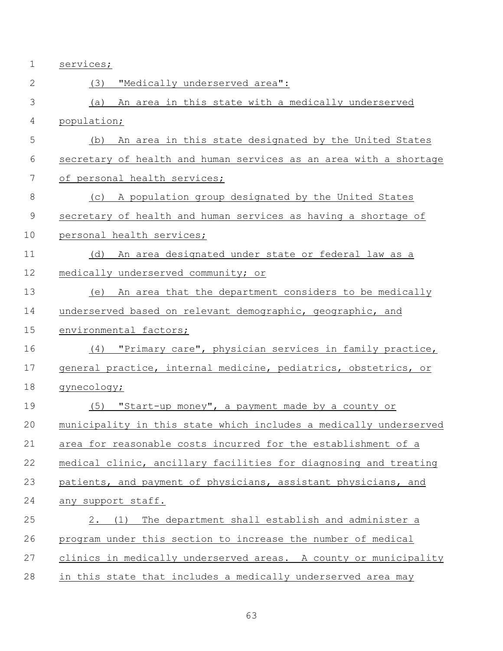services;

| $\mathbf{2}$  | "Medically underserved area":<br>(3)                              |
|---------------|-------------------------------------------------------------------|
| 3             | An area in this state with a medically underserved<br>(a)         |
| 4             | population;                                                       |
| 5             | An area in this state designated by the United States<br>(b)      |
| 6             | secretary of health and human services as an area with a shortage |
| 7             | of personal health services;                                      |
| $\,8\,$       | A population group designated by the United States<br>(C)         |
| $\mathcal{G}$ | secretary of health and human services as having a shortage of    |
| 10            | personal health services;                                         |
| 11            | An area designated under state or federal law as a<br>(d)         |
| 12            | medically underserved community; or                               |
| 13            | An area that the department considers to be medically<br>(e)      |
| 14            | underserved based on relevant demographic, geographic, and        |
| 15            | environmental factors;                                            |
| 16            | "Primary care", physician services in family practice,<br>(4)     |
| 17            | general practice, internal medicine, pediatrics, obstetrics, or   |
| 18            | gynecology;                                                       |
| 19            | (5) "Start-up money", a payment made by a county or               |
| 20            | municipality in this state which includes a medically underserved |
| 21            | area for reasonable costs incurred for the establishment of a     |
| 22            | medical clinic, ancillary facilities for diagnosing and treating  |
| 23            | patients, and payment of physicians, assistant physicians, and    |
| 24            | any support staff.                                                |
| 25            | 2. (1) The department shall establish and administer a            |
| 26            | program under this section to increase the number of medical      |
| 27            | clinics in medically underserved areas. A county or municipality  |
| 28            | in this state that includes a medically underserved area may      |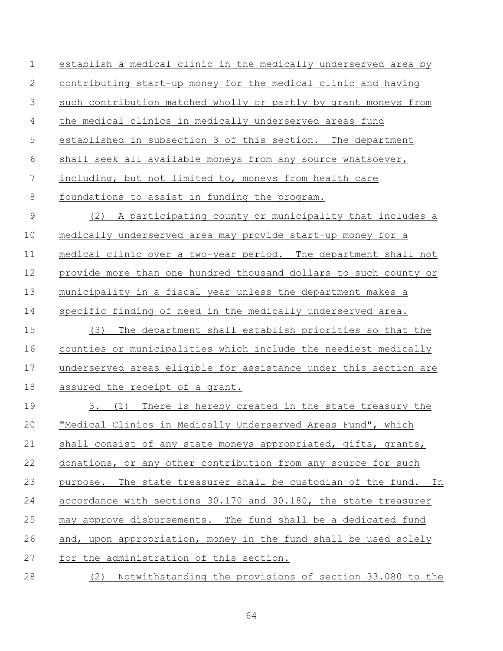establish a medical clinic in the medically underserved area by contributing start-up money for the medical clinic and having such contribution matched wholly or partly by grant moneys from the medical clinics in medically underserved areas fund established in subsection 3 of this section. The department shall seek all available moneys from any source whatsoever, including, but not limited to, moneys from health care foundations to assist in funding the program. (2) A participating county or municipality that includes a medically underserved area may provide start-up money for a medical clinic over a two-year period. The department shall not provide more than one hundred thousand dollars to such county or municipality in a fiscal year unless the department makes a specific finding of need in the medically underserved area. (3) The department shall establish priorities so that the counties or municipalities which include the neediest medically underserved areas eligible for assistance under this section are assured the receipt of a grant. 3. (1) There is hereby created in the state treasury the "Medical Clinics in Medically Underserved Areas Fund", which shall consist of any state moneys appropriated, gifts, grants, donations, or any other contribution from any source for such purpose. The state treasurer shall be custodian of the fund. In accordance with sections 30.170 and 30.180, the state treasurer may approve disbursements. The fund shall be a dedicated fund and, upon appropriation, money in the fund shall be used solely for the administration of this section. (2) Notwithstanding the provisions of section 33.080 to the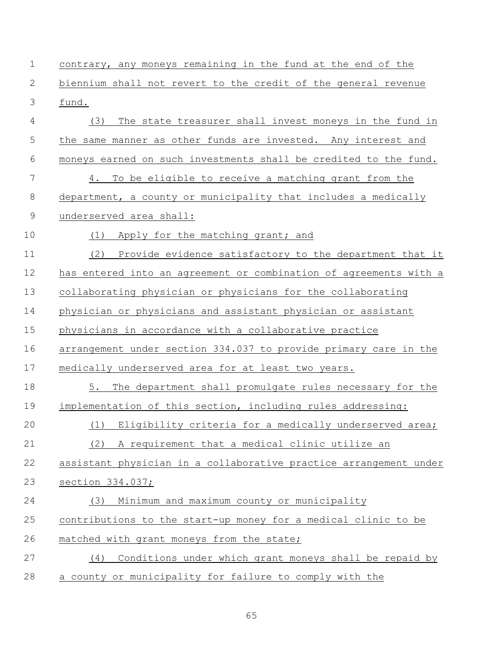| $\mathbf 1$ | contrary, any moneys remaining in the fund at the end of the      |
|-------------|-------------------------------------------------------------------|
| 2           | biennium shall not revert to the credit of the general revenue    |
| 3           | fund.                                                             |
| 4           | The state treasurer shall invest moneys in the fund in<br>(3)     |
| 5           | the same manner as other funds are invested. Any interest and     |
| 6           | moneys earned on such investments shall be credited to the fund.  |
| 7           | To be eligible to receive a matching grant from the<br>4.         |
| 8           | department, a county or municipality that includes a medically    |
| 9           | underserved area shall:                                           |
| 10          | Apply for the matching grant; and<br>(1)                          |
| 11          | (2)<br>Provide evidence satisfactory to the department that it    |
| 12          | has entered into an agreement or combination of agreements with a |
| 13          | collaborating physician or physicians for the collaborating       |
| 14          | physician or physicians and assistant physician or assistant      |
| 15          | physicians in accordance with a collaborative practice            |
| 16          | arrangement under section 334.037 to provide primary care in the  |
| 17          | medically underserved area for at least two years.                |
| 18          | 5. The department shall promulgate rules necessary for the        |
| 19          | implementation of this section, including rules addressing:       |
| 20          | (1) Eligibility criteria for a medically underserved area;        |
| 21          | (2)<br>A requirement that a medical clinic utilize an             |
| 22          | assistant physician in a collaborative practice arrangement under |
| 23          | section $334.037$ ;                                               |
| 24          | Minimum and maximum county or municipality<br>(3)                 |
| 25          | contributions to the start-up money for a medical clinic to be    |
| 26          | matched with grant moneys from the state;                         |
| 27          | Conditions under which grant moneys shall be repaid by<br>(4)     |
| 28          | a county or municipality for failure to comply with the           |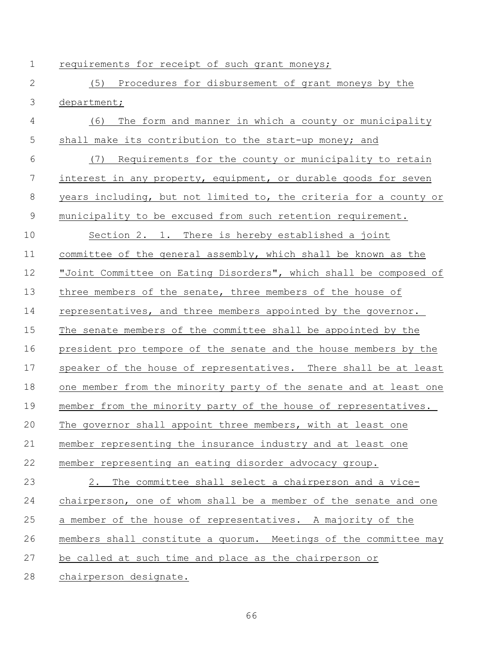requirements for receipt of such grant moneys;

 (5) Procedures for disbursement of grant moneys by the department; (6) The form and manner in which a county or municipality 5 shall make its contribution to the start-up money; and (7) Requirements for the county or municipality to retain interest in any property, equipment, or durable goods for seven years including, but not limited to, the criteria for a county or municipality to be excused from such retention requirement. Section 2. 1. There is hereby established a joint committee of the general assembly, which shall be known as the "Joint Committee on Eating Disorders", which shall be composed of 13 three members of the senate, three members of the house of representatives, and three members appointed by the governor. The senate members of the committee shall be appointed by the president pro tempore of the senate and the house members by the speaker of the house of representatives. There shall be at least one member from the minority party of the senate and at least one member from the minority party of the house of representatives. The governor shall appoint three members, with at least one member representing the insurance industry and at least one member representing an eating disorder advocacy group. 2. The committee shall select a chairperson and a vice- chairperson, one of whom shall be a member of the senate and one a member of the house of representatives. A majority of the members shall constitute a quorum. Meetings of the committee may be called at such time and place as the chairperson or chairperson designate.